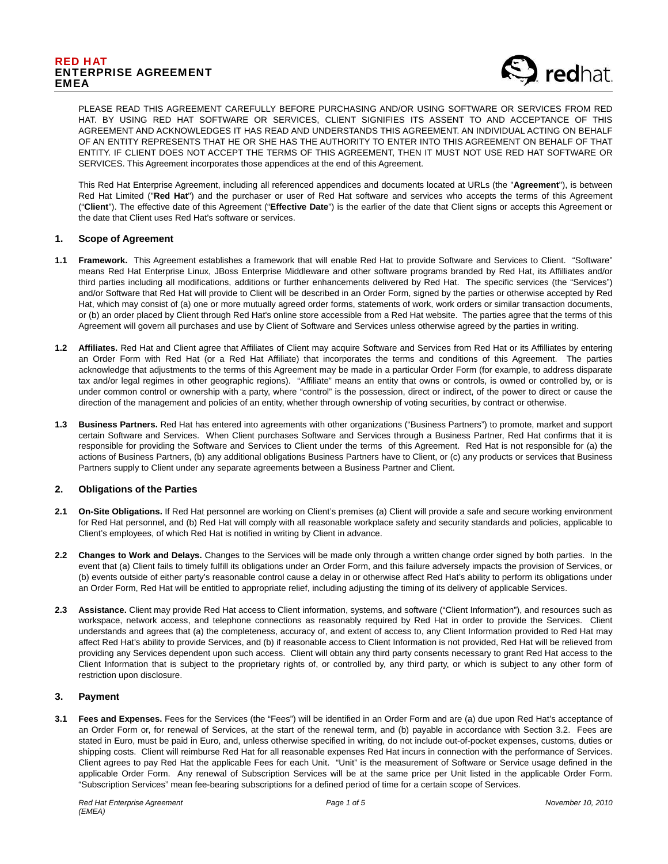# RED HAT ENTERPRISE AGREEMENT EMEA



PLEASE READ THIS AGREEMENT CAREFULLY BEFORE PURCHASING AND/OR USING SOFTWARE OR SERVICES FROM RED HAT. BY USING RED HAT SOFTWARE OR SERVICES, CLIENT SIGNIFIES ITS ASSENT TO AND ACCEPTANCE OF THIS AGREEMENT AND ACKNOWLEDGES IT HAS READ AND UNDERSTANDS THIS AGREEMENT. AN INDIVIDUAL ACTING ON BEHALF OF AN ENTITY REPRESENTS THAT HE OR SHE HAS THE AUTHORITY TO ENTER INTO THIS AGREEMENT ON BEHALF OF THAT ENTITY. IF CLIENT DOES NOT ACCEPT THE TERMS OF THIS AGREEMENT, THEN IT MUST NOT USE RED HAT SOFTWARE OR SERVICES. This Agreement incorporates those appendices at the end of this Agreement.

This Red Hat Enterprise Agreement, including all referenced appendices and documents located at URLs (the "**Agreement**"), is between Red Hat Limited ("**Red Hat**") and the purchaser or user of Red Hat software and services who accepts the terms of this Agreement ("**Client**"). The effective date of this Agreement ("**Effective Date**") is the earlier of the date that Client signs or accepts this Agreement or the date that Client uses Red Hat's software or services.

## **1. Scope of Agreement**

- **1.1 Framework.** This Agreement establishes a framework that will enable Red Hat to provide Software and Services to Client. "Software" means Red Hat Enterprise Linux, JBoss Enterprise Middleware and other software programs branded by Red Hat, its Affilliates and/or third parties including all modifications, additions or further enhancements delivered by Red Hat. The specific services (the "Services") and/or Software that Red Hat will provide to Client will be described in an Order Form, signed by the parties or otherwise accepted by Red Hat, which may consist of (a) one or more mutually agreed order forms, statements of work, work orders or similar transaction documents, or (b) an order placed by Client through Red Hat's online store accessible from a Red Hat website. The parties agree that the terms of this Agreement will govern all purchases and use by Client of Software and Services unless otherwise agreed by the parties in writing.
- **1.2 Affiliates.** Red Hat and Client agree that Affiliates of Client may acquire Software and Services from Red Hat or its Affilliates by entering an Order Form with Red Hat (or a Red Hat Affiliate) that incorporates the terms and conditions of this Agreement. The parties acknowledge that adjustments to the terms of this Agreement may be made in a particular Order Form (for example, to address disparate tax and/or legal regimes in other geographic regions). "Affiliate" means an entity that owns or controls, is owned or controlled by, or is under common control or ownership with a party, where "control" is the possession, direct or indirect, of the power to direct or cause the direction of the management and policies of an entity, whether through ownership of voting securities, by contract or otherwise.
- **1.3 Business Partners.** Red Hat has entered into agreements with other organizations ("Business Partners") to promote, market and support certain Software and Services. When Client purchases Software and Services through a Business Partner, Red Hat confirms that it is responsible for providing the Software and Services to Client under the terms of this Agreement. Red Hat is not responsible for (a) the actions of Business Partners, (b) any additional obligations Business Partners have to Client, or (c) any products or services that Business Partners supply to Client under any separate agreements between a Business Partner and Client.

# **2. Obligations of the Parties**

- **2.1 On-Site Obligations.** If Red Hat personnel are working on Client's premises (a) Client will provide a safe and secure working environment for Red Hat personnel, and (b) Red Hat will comply with all reasonable workplace safety and security standards and policies, applicable to Client's employees, of which Red Hat is notified in writing by Client in advance.
- **2.2 Changes to Work and Delays.** Changes to the Services will be made only through a written change order signed by both parties. In the event that (a) Client fails to timely fulfill its obligations under an Order Form, and this failure adversely impacts the provision of Services, or (b) events outside of either party's reasonable control cause a delay in or otherwise affect Red Hat's ability to perform its obligations under an Order Form, Red Hat will be entitled to appropriate relief, including adjusting the timing of its delivery of applicable Services.
- **2.3 Assistance.** Client may provide Red Hat access to Client information, systems, and software ("Client Information"), and resources such as workspace, network access, and telephone connections as reasonably required by Red Hat in order to provide the Services. Client understands and agrees that (a) the completeness, accuracy of, and extent of access to, any Client Information provided to Red Hat may affect Red Hat's ability to provide Services, and (b) if reasonable access to Client Information is not provided, Red Hat will be relieved from providing any Services dependent upon such access. Client will obtain any third party consents necessary to grant Red Hat access to the Client Information that is subject to the proprietary rights of, or controlled by, any third party, or which is subject to any other form of restriction upon disclosure.

### **3. Payment**

**3.1 Fees and Expenses.** Fees for the Services (the "Fees") will be identified in an Order Form and are (a) due upon Red Hat's acceptance of an Order Form or, for renewal of Services, at the start of the renewal term, and (b) payable in accordance with Section 3.2. Fees are stated in Euro, must be paid in Euro, and, unless otherwise specified in writing, do not include out-of-pocket expenses, customs, duties or shipping costs. Client will reimburse Red Hat for all reasonable expenses Red Hat incurs in connection with the performance of Services. Client agrees to pay Red Hat the applicable Fees for each Unit. "Unit" is the measurement of Software or Service usage defined in the applicable Order Form. Any renewal of Subscription Services will be at the same price per Unit listed in the applicable Order Form. "Subscription Services" mean fee-bearing subscriptions for a defined period of time for a certain scope of Services.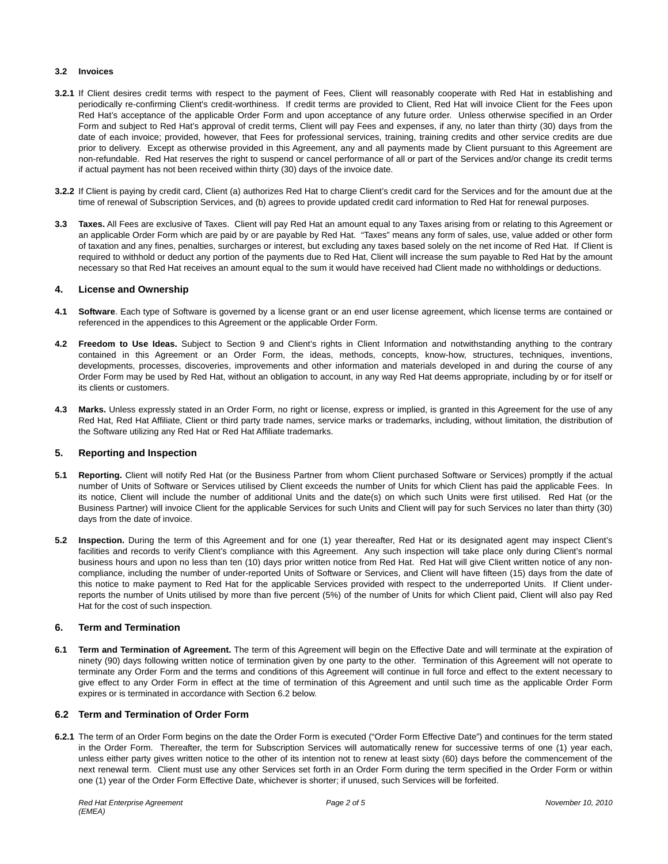#### **3.2 Invoices**

- **3.2.1** If Client desires credit terms with respect to the payment of Fees, Client will reasonably cooperate with Red Hat in establishing and periodically re-confirming Client's credit-worthiness. If credit terms are provided to Client, Red Hat will invoice Client for the Fees upon Red Hat's acceptance of the applicable Order Form and upon acceptance of any future order. Unless otherwise specified in an Order Form and subject to Red Hat's approval of credit terms, Client will pay Fees and expenses, if any, no later than thirty (30) days from the date of each invoice; provided, however, that Fees for professional services, training, training credits and other service credits are due prior to delivery. Except as otherwise provided in this Agreement, any and all payments made by Client pursuant to this Agreement are non-refundable. Red Hat reserves the right to suspend or cancel performance of all or part of the Services and/or change its credit terms if actual payment has not been received within thirty (30) days of the invoice date.
- **3.2.2** If Client is paying by credit card, Client (a) authorizes Red Hat to charge Client's credit card for the Services and for the amount due at the time of renewal of Subscription Services, and (b) agrees to provide updated credit card information to Red Hat for renewal purposes.
- **3.3 Taxes.** All Fees are exclusive of Taxes. Client will pay Red Hat an amount equal to any Taxes arising from or relating to this Agreement or an applicable Order Form which are paid by or are payable by Red Hat. "Taxes" means any form of sales, use, value added or other form of taxation and any fines, penalties, surcharges or interest, but excluding any taxes based solely on the net income of Red Hat. If Client is required to withhold or deduct any portion of the payments due to Red Hat, Client will increase the sum payable to Red Hat by the amount necessary so that Red Hat receives an amount equal to the sum it would have received had Client made no withholdings or deductions.

### **4. License and Ownership**

- **4.1 Software**. Each type of Software is governed by a license grant or an end user license agreement, which license terms are contained or referenced in the appendices to this Agreement or the applicable Order Form.
- **4.2 Freedom to Use Ideas.** Subject to Section 9 and Client's rights in Client Information and notwithstanding anything to the contrary contained in this Agreement or an Order Form, the ideas, methods, concepts, know-how, structures, techniques, inventions, developments, processes, discoveries, improvements and other information and materials developed in and during the course of any Order Form may be used by Red Hat, without an obligation to account, in any way Red Hat deems appropriate, including by or for itself or its clients or customers.
- **4.3 Marks.** Unless expressly stated in an Order Form, no right or license, express or implied, is granted in this Agreement for the use of any Red Hat, Red Hat Affiliate, Client or third party trade names, service marks or trademarks, including, without limitation, the distribution of the Software utilizing any Red Hat or Red Hat Affiliate trademarks.

## **5. Reporting and Inspection**

- **5.1 Reporting.** Client will notify Red Hat (or the Business Partner from whom Client purchased Software or Services) promptly if the actual number of Units of Software or Services utilised by Client exceeds the number of Units for which Client has paid the applicable Fees. In its notice, Client will include the number of additional Units and the date(s) on which such Units were first utilised. Red Hat (or the Business Partner) will invoice Client for the applicable Services for such Units and Client will pay for such Services no later than thirty (30) days from the date of invoice.
- **5.2 Inspection.** During the term of this Agreement and for one (1) year thereafter, Red Hat or its designated agent may inspect Client's facilities and records to verify Client's compliance with this Agreement. Any such inspection will take place only during Client's normal business hours and upon no less than ten (10) days prior written notice from Red Hat. Red Hat will give Client written notice of any noncompliance, including the number of under-reported Units of Software or Services, and Client will have fifteen (15) days from the date of this notice to make payment to Red Hat for the applicable Services provided with respect to the underreported Units. If Client underreports the number of Units utilised by more than five percent (5%) of the number of Units for which Client paid, Client will also pay Red Hat for the cost of such inspection.

### **6. Term and Termination**

**6.1 Term and Termination of Agreement.** The term of this Agreement will begin on the Effective Date and will terminate at the expiration of ninety (90) days following written notice of termination given by one party to the other. Termination of this Agreement will not operate to terminate any Order Form and the terms and conditions of this Agreement will continue in full force and effect to the extent necessary to give effect to any Order Form in effect at the time of termination of this Agreement and until such time as the applicable Order Form expires or is terminated in accordance with Section 6.2 below.

# **6.2 Term and Termination of Order Form**

**6.2.1** The term of an Order Form begins on the date the Order Form is executed ("Order Form Effective Date") and continues for the term stated in the Order Form. Thereafter, the term for Subscription Services will automatically renew for successive terms of one (1) year each, unless either party gives written notice to the other of its intention not to renew at least sixty (60) days before the commencement of the next renewal term. Client must use any other Services set forth in an Order Form during the term specified in the Order Form or within one (1) year of the Order Form Effective Date, whichever is shorter; if unused, such Services will be forfeited.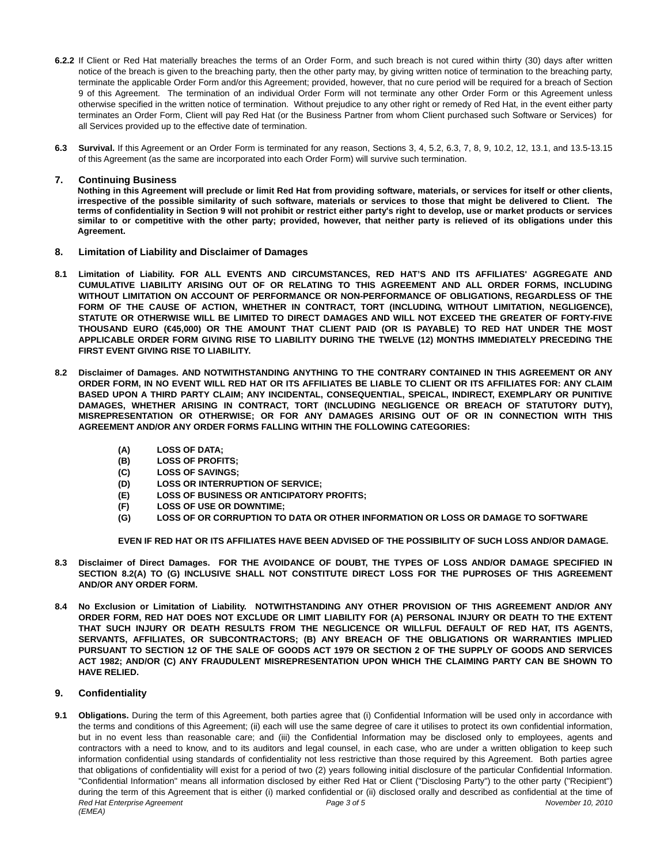- **6.2.2** If Client or Red Hat materially breaches the terms of an Order Form, and such breach is not cured within thirty (30) days after written notice of the breach is given to the breaching party, then the other party may, by giving written notice of termination to the breaching party, terminate the applicable Order Form and/or this Agreement; provided, however, that no cure period will be required for a breach of Section 9 of this Agreement. The termination of an individual Order Form will not terminate any other Order Form or this Agreement unless otherwise specified in the written notice of termination. Without prejudice to any other right or remedy of Red Hat, in the event either party terminates an Order Form, Client will pay Red Hat (or the Business Partner from whom Client purchased such Software or Services) for all Services provided up to the effective date of termination.
- **6.3 Survival.** If this Agreement or an Order Form is terminated for any reason, Sections 3, 4, 5.2, 6.3, 7, 8, 9, 10.2, 12, 13.1, and 13.5-13.15 of this Agreement (as the same are incorporated into each Order Form) will survive such termination.

# **7. Continuing Business**

**Nothing in this Agreement will preclude or limit Red Hat from providing software, materials, or services for itself or other clients, irrespective of the possible similarity of such software, materials or services to those that might be delivered to Client. The terms of confidentiality in Section 9 will not prohibit or restrict either party's right to develop, use or market products or services similar to or competitive with the other party; provided, however, that neither party is relieved of its obligations under this Agreement.** 

- **8. Limitation of Liability and Disclaimer of Damages**
- **8.1 Limitation of Liability. FOR ALL EVENTS AND CIRCUMSTANCES, RED HAT'S AND ITS AFFILIATES' AGGREGATE AND CUMULATIVE LIABILITY ARISING OUT OF OR RELATING TO THIS AGREEMENT AND ALL ORDER FORMS, INCLUDING WITHOUT LIMITATION ON ACCOUNT OF PERFORMANCE OR NON-PERFORMANCE OF OBLIGATIONS, REGARDLESS OF THE FORM OF THE CAUSE OF ACTION, WHETHER IN CONTRACT, TORT (INCLUDING, WITHOUT LIMITATION, NEGLIGENCE), STATUTE OR OTHERWISE WILL BE LIMITED TO DIRECT DAMAGES AND WILL NOT EXCEED THE GREATER OF FORTY-FIVE THOUSAND EURO (€45,000) OR THE AMOUNT THAT CLIENT PAID (OR IS PAYABLE) TO RED HAT UNDER THE MOST APPLICABLE ORDER FORM GIVING RISE TO LIABILITY DURING THE TWELVE (12) MONTHS IMMEDIATELY PRECEDING THE FIRST EVENT GIVING RISE TO LIABILITY.**
- **8.2 Disclaimer of Damages. AND NOTWITHSTANDING ANYTHING TO THE CONTRARY CONTAINED IN THIS AGREEMENT OR ANY ORDER FORM, IN NO EVENT WILL RED HAT OR ITS AFFILIATES BE LIABLE TO CLIENT OR ITS AFFILIATES FOR: ANY CLAIM BASED UPON A THIRD PARTY CLAIM; ANY INCIDENTAL, CONSEQUENTIAL, SPEICAL, INDIRECT, EXEMPLARY OR PUNITIVE DAMAGES, WHETHER ARISING IN CONTRACT, TORT (INCLUDING NEGLIGENCE OR BREACH OF STATUTORY DUTY), MISREPRESENTATION OR OTHERWISE; OR FOR ANY DAMAGES ARISING OUT OF OR IN CONNECTION WITH THIS AGREEMENT AND/OR ANY ORDER FORMS FALLING WITHIN THE FOLLOWING CATEGORIES:** 
	- **(A) LOSS OF DATA;**
	- **(B) LOSS OF PROFITS;**
	- **(C) LOSS OF SAVINGS;**
	- **(D) LOSS OR INTERRUPTION OF SERVICE;**
	- **(E) LOSS OF BUSINESS OR ANTICIPATORY PROFITS;**
	- **(F) LOSS OF USE OR DOWNTIME;**
	- **(G) LOSS OF OR CORRUPTION TO DATA OR OTHER INFORMATION OR LOSS OR DAMAGE TO SOFTWARE**

 **EVEN IF RED HAT OR ITS AFFILIATES HAVE BEEN ADVISED OF THE POSSIBILITY OF SUCH LOSS AND/OR DAMAGE.** 

- **8.3 Disclaimer of Direct Damages. FOR THE AVOIDANCE OF DOUBT, THE TYPES OF LOSS AND/OR DAMAGE SPECIFIED IN SECTION 8.2(A) TO (G) INCLUSIVE SHALL NOT CONSTITUTE DIRECT LOSS FOR THE PUPROSES OF THIS AGREEMENT AND/OR ANY ORDER FORM.**
- **8.4 No Exclusion or Limitation of Liability. NOTWITHSTANDING ANY OTHER PROVISION OF THIS AGREEMENT AND/OR ANY ORDER FORM, RED HAT DOES NOT EXCLUDE OR LIMIT LIABILITY FOR (A) PERSONAL INJURY OR DEATH TO THE EXTENT THAT SUCH INJURY OR DEATH RESULTS FROM THE NEGLICENCE OR WILLFUL DEFAULT OF RED HAT, ITS AGENTS, SERVANTS, AFFILIATES, OR SUBCONTRACTORS; (B) ANY BREACH OF THE OBLIGATIONS OR WARRANTIES IMPLIED PURSUANT TO SECTION 12 OF THE SALE OF GOODS ACT 1979 OR SECTION 2 OF THE SUPPLY OF GOODS AND SERVICES ACT 1982; AND/OR (C) ANY FRAUDULENT MISREPRESENTATION UPON WHICH THE CLAIMING PARTY CAN BE SHOWN TO HAVE RELIED.**

# **9. Confidentiality**

Red Hat Enterprise Agreement **Agreement** 2010 **Page 3 of 5** November 10, 2010 *(EMEA)*  **9.1 Obligations.** During the term of this Agreement, both parties agree that (i) Confidential Information will be used only in accordance with the terms and conditions of this Agreement; (ii) each will use the same degree of care it utilises to protect its own confidential information, but in no event less than reasonable care; and (iii) the Confidential Information may be disclosed only to employees, agents and contractors with a need to know, and to its auditors and legal counsel, in each case, who are under a written obligation to keep such information confidential using standards of confidentiality not less restrictive than those required by this Agreement. Both parties agree that obligations of confidentiality will exist for a period of two (2) years following initial disclosure of the particular Confidential Information. "Confidential Information" means all information disclosed by either Red Hat or Client ("Disclosing Party") to the other party ("Recipient") during the term of this Agreement that is either (i) marked confidential or (ii) disclosed orally and described as confidential at the time of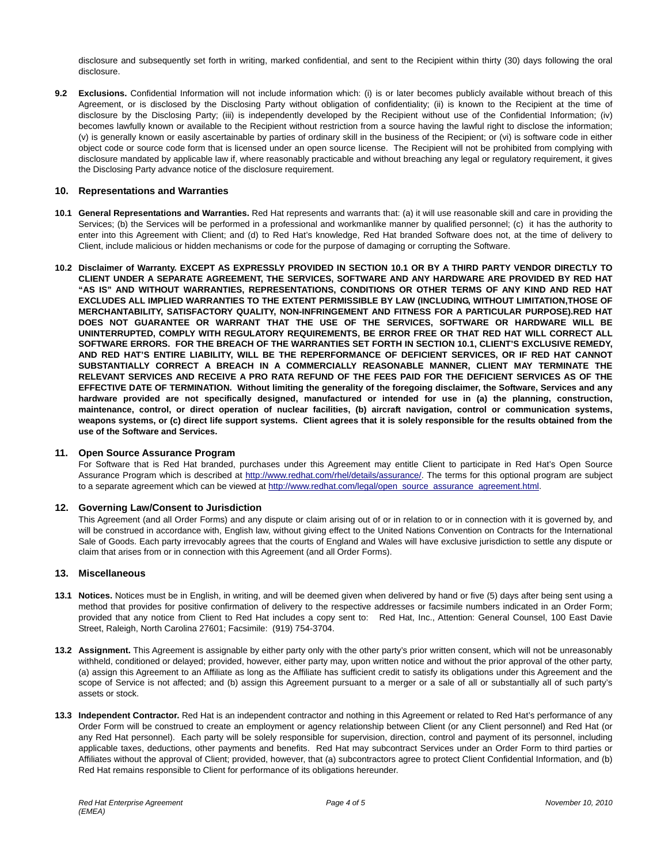disclosure and subsequently set forth in writing, marked confidential, and sent to the Recipient within thirty (30) days following the oral disclosure.

**9.2 Exclusions.** Confidential Information will not include information which: (i) is or later becomes publicly available without breach of this Agreement, or is disclosed by the Disclosing Party without obligation of confidentiality; (ii) is known to the Recipient at the time of disclosure by the Disclosing Party; (iii) is independently developed by the Recipient without use of the Confidential Information; (iv) becomes lawfully known or available to the Recipient without restriction from a source having the lawful right to disclose the information; (v) is generally known or easily ascertainable by parties of ordinary skill in the business of the Recipient; or (vi) is software code in either object code or source code form that is licensed under an open source license. The Recipient will not be prohibited from complying with disclosure mandated by applicable law if, where reasonably practicable and without breaching any legal or regulatory requirement, it gives the Disclosing Party advance notice of the disclosure requirement.

## **10. Representations and Warranties**

- **10.1 General Representations and Warranties.** Red Hat represents and warrants that: (a) it will use reasonable skill and care in providing the Services; (b) the Services will be performed in a professional and workmanlike manner by qualified personnel; (c) it has the authority to enter into this Agreement with Client; and (d) to Red Hat's knowledge, Red Hat branded Software does not, at the time of delivery to Client, include malicious or hidden mechanisms or code for the purpose of damaging or corrupting the Software.
- **10.2 Disclaimer of Warranty. EXCEPT AS EXPRESSLY PROVIDED IN SECTION 10.1 OR BY A THIRD PARTY VENDOR DIRECTLY TO CLIENT UNDER A SEPARATE AGREEMENT, THE SERVICES, SOFTWARE AND ANY HARDWARE ARE PROVIDED BY RED HAT "AS IS" AND WITHOUT WARRANTIES, REPRESENTATIONS, CONDITIONS OR OTHER TERMS OF ANY KIND AND RED HAT EXCLUDES ALL IMPLIED WARRANTIES TO THE EXTENT PERMISSIBLE BY LAW (INCLUDING, WITHOUT LIMITATION,THOSE OF MERCHANTABILITY, SATISFACTORY QUALITY, NON-INFRINGEMENT AND FITNESS FOR A PARTICULAR PURPOSE).RED HAT DOES NOT GUARANTEE OR WARRANT THAT THE USE OF THE SERVICES, SOFTWARE OR HARDWARE WILL BE UNINTERRUPTED, COMPLY WITH REGULATORY REQUIREMENTS, BE ERROR FREE OR THAT RED HAT WILL CORRECT ALL SOFTWARE ERRORS. FOR THE BREACH OF THE WARRANTIES SET FORTH IN SECTION 10.1, CLIENT'S EXCLUSIVE REMEDY, AND RED HAT'S ENTIRE LIABILITY, WILL BE THE REPERFORMANCE OF DEFICIENT SERVICES, OR IF RED HAT CANNOT SUBSTANTIALLY CORRECT A BREACH IN A COMMERCIALLY REASONABLE MANNER, CLIENT MAY TERMINATE THE RELEVANT SERVICES AND RECEIVE A PRO RATA REFUND OF THE FEES PAID FOR THE DEFICIENT SERVICES AS OF THE EFFECTIVE DATE OF TERMINATION. Without limiting the generality of the foregoing disclaimer, the Software, Services and any hardware provided are not specifically designed, manufactured or intended for use in (a) the planning, construction, maintenance, control, or direct operation of nuclear facilities, (b) aircraft navigation, control or communication systems, weapons systems, or (c) direct life support systems. Client agrees that it is solely responsible for the results obtained from the use of the Software and Services.**

### **11. Open Source Assurance Program**

For Software that is Red Hat branded, purchases under this Agreement may entitle Client to participate in Red Hat's Open Source Assurance Program which is described at http://www.redhat.com/rhel/details/assurance/. The terms for this optional program are subject to a separate agreement which can be viewed at http://www.redhat.com/legal/open\_source\_assurance\_agreement.html.

### **12. Governing Law/Consent to Jurisdiction**

This Agreement (and all Order Forms) and any dispute or claim arising out of or in relation to or in connection with it is governed by, and will be construed in accordance with. English law, without giving effect to the United Nations Convention on Contracts for the International Sale of Goods. Each party irrevocably agrees that the courts of England and Wales will have exclusive jurisdiction to settle any dispute or claim that arises from or in connection with this Agreement (and all Order Forms).

### **13. Miscellaneous**

- **13.1 Notices.** Notices must be in English, in writing, and will be deemed given when delivered by hand or five (5) days after being sent using a method that provides for positive confirmation of delivery to the respective addresses or facsimile numbers indicated in an Order Form; provided that any notice from Client to Red Hat includes a copy sent to: Red Hat, Inc., Attention: General Counsel, 100 East Davie Street, Raleigh, North Carolina 27601; Facsimile: (919) 754-3704.
- **13.2 Assignment.** This Agreement is assignable by either party only with the other party's prior written consent, which will not be unreasonably withheld, conditioned or delayed; provided, however, either party may, upon written notice and without the prior approval of the other party, (a) assign this Agreement to an Affiliate as long as the Affiliate has sufficient credit to satisfy its obligations under this Agreement and the scope of Service is not affected; and (b) assign this Agreement pursuant to a merger or a sale of all or substantially all of such party's assets or stock.
- **13.3 Independent Contractor.** Red Hat is an independent contractor and nothing in this Agreement or related to Red Hat's performance of any Order Form will be construed to create an employment or agency relationship between Client (or any Client personnel) and Red Hat (or any Red Hat personnel). Each party will be solely responsible for supervision, direction, control and payment of its personnel, including applicable taxes, deductions, other payments and benefits. Red Hat may subcontract Services under an Order Form to third parties or Affiliates without the approval of Client; provided, however, that (a) subcontractors agree to protect Client Confidential Information, and (b) Red Hat remains responsible to Client for performance of its obligations hereunder.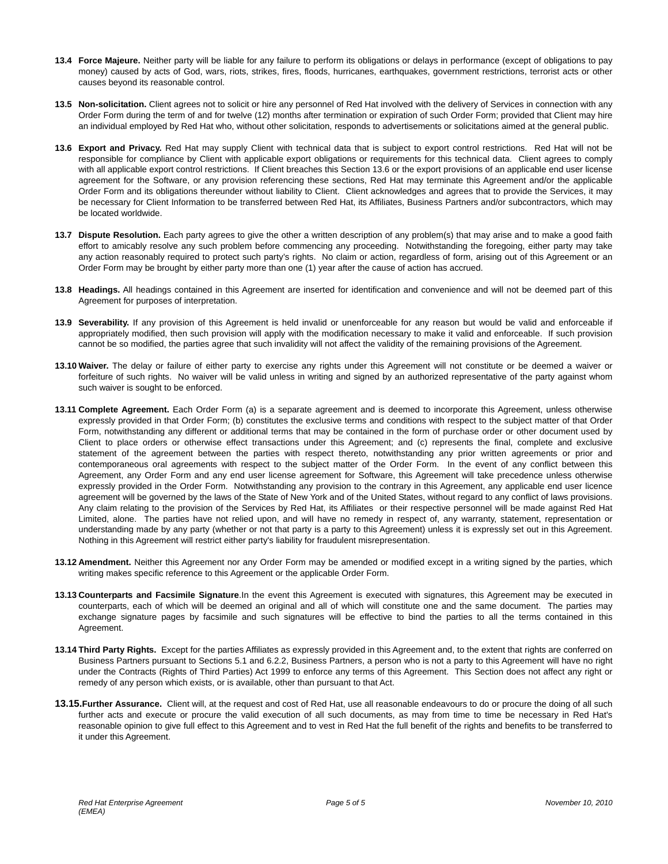- **13.4 Force Majeure.** Neither party will be liable for any failure to perform its obligations or delays in performance (except of obligations to pay money) caused by acts of God, wars, riots, strikes, fires, floods, hurricanes, earthquakes, government restrictions, terrorist acts or other causes beyond its reasonable control.
- **13.5 Non-solicitation.** Client agrees not to solicit or hire any personnel of Red Hat involved with the delivery of Services in connection with any Order Form during the term of and for twelve (12) months after termination or expiration of such Order Form; provided that Client may hire an individual employed by Red Hat who, without other solicitation, responds to advertisements or solicitations aimed at the general public.
- **13.6 Export and Privacy.** Red Hat may supply Client with technical data that is subject to export control restrictions. Red Hat will not be responsible for compliance by Client with applicable export obligations or requirements for this technical data. Client agrees to comply with all applicable export control restrictions. If Client breaches this Section 13.6 or the export provisions of an applicable end user license agreement for the Software, or any provision referencing these sections, Red Hat may terminate this Agreement and/or the applicable Order Form and its obligations thereunder without liability to Client. Client acknowledges and agrees that to provide the Services, it may be necessary for Client Information to be transferred between Red Hat, its Affiliates, Business Partners and/or subcontractors, which may be located worldwide.
- **13.7 Dispute Resolution.** Each party agrees to give the other a written description of any problem(s) that may arise and to make a good faith effort to amicably resolve any such problem before commencing any proceeding. Notwithstanding the foregoing, either party may take any action reasonably required to protect such party's rights. No claim or action, regardless of form, arising out of this Agreement or an Order Form may be brought by either party more than one (1) year after the cause of action has accrued.
- **13.8 Headings.** All headings contained in this Agreement are inserted for identification and convenience and will not be deemed part of this Agreement for purposes of interpretation.
- **13.9 Severability.** If any provision of this Agreement is held invalid or unenforceable for any reason but would be valid and enforceable if appropriately modified, then such provision will apply with the modification necessary to make it valid and enforceable. If such provision cannot be so modified, the parties agree that such invalidity will not affect the validity of the remaining provisions of the Agreement.
- **13.10 Waiver.** The delay or failure of either party to exercise any rights under this Agreement will not constitute or be deemed a waiver or forfeiture of such rights. No waiver will be valid unless in writing and signed by an authorized representative of the party against whom such waiver is sought to be enforced.
- **13.11 Complete Agreement.** Each Order Form (a) is a separate agreement and is deemed to incorporate this Agreement, unless otherwise expressly provided in that Order Form; (b) constitutes the exclusive terms and conditions with respect to the subject matter of that Order Form, notwithstanding any different or additional terms that may be contained in the form of purchase order or other document used by Client to place orders or otherwise effect transactions under this Agreement; and (c) represents the final, complete and exclusive statement of the agreement between the parties with respect thereto, notwithstanding any prior written agreements or prior and contemporaneous oral agreements with respect to the subject matter of the Order Form. In the event of any conflict between this Agreement, any Order Form and any end user license agreement for Software, this Agreement will take precedence unless otherwise expressly provided in the Order Form. Notwithstanding any provision to the contrary in this Agreement, any applicable end user licence agreement will be governed by the laws of the State of New York and of the United States, without regard to any conflict of laws provisions. Any claim relating to the provision of the Services by Red Hat, its Affiliates or their respective personnel will be made against Red Hat Limited, alone. The parties have not relied upon, and will have no remedy in respect of, any warranty, statement, representation or understanding made by any party (whether or not that party is a party to this Agreement) unless it is expressly set out in this Agreement. Nothing in this Agreement will restrict either party's liability for fraudulent misrepresentation.
- **13.12 Amendment.** Neither this Agreement nor any Order Form may be amended or modified except in a writing signed by the parties, which writing makes specific reference to this Agreement or the applicable Order Form.
- **13.13 Counterparts and Facsimile Signature**.In the event this Agreement is executed with signatures, this Agreement may be executed in counterparts, each of which will be deemed an original and all of which will constitute one and the same document. The parties may exchange signature pages by facsimile and such signatures will be effective to bind the parties to all the terms contained in this Agreement.
- **13.14 Third Party Rights.** Except for the parties Affiliates as expressly provided in this Agreement and, to the extent that rights are conferred on Business Partners pursuant to Sections 5.1 and 6.2.2, Business Partners, a person who is not a party to this Agreement will have no right under the Contracts (Rights of Third Parties) Act 1999 to enforce any terms of this Agreement. This Section does not affect any right or remedy of any person which exists, or is available, other than pursuant to that Act.
- **13.15.Further Assurance.** Client will, at the request and cost of Red Hat, use all reasonable endeavours to do or procure the doing of all such further acts and execute or procure the valid execution of all such documents, as may from time to time be necessary in Red Hat's reasonable opinion to give full effect to this Agreement and to vest in Red Hat the full benefit of the rights and benefits to be transferred to it under this Agreement.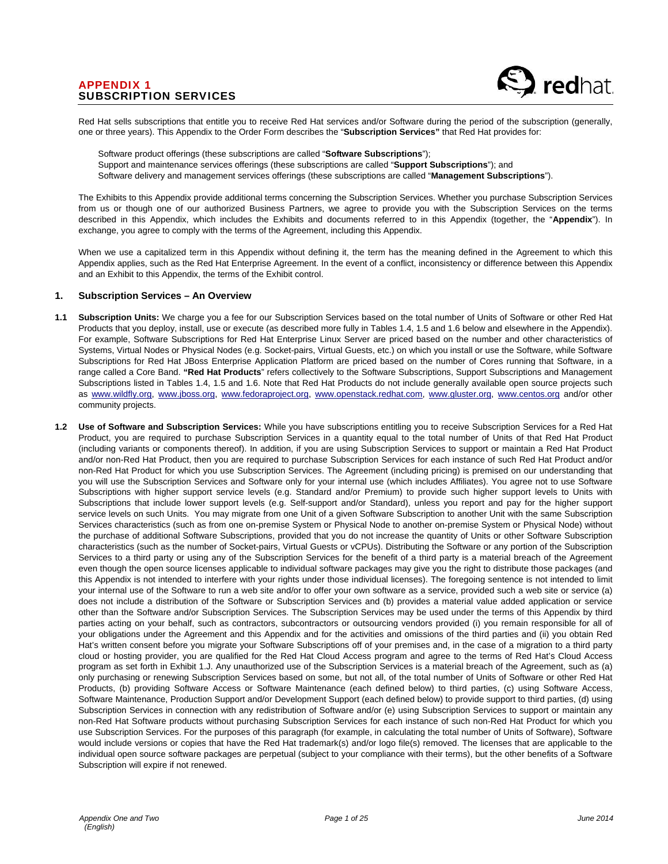

Red Hat sells subscriptions that entitle you to receive Red Hat services and/or Software during the period of the subscription (generally, one or three years). This Appendix to the Order Form describes the "**Subscription Services"** that Red Hat provides for:

Software product offerings (these subscriptions are called "**Software Subscriptions**"); Support and maintenance services offerings (these subscriptions are called "**Support Subscriptions**"); and Software delivery and management services offerings (these subscriptions are called "**Management Subscriptions**").

The Exhibits to this Appendix provide additional terms concerning the Subscription Services. Whether you purchase Subscription Services from us or though one of our authorized Business Partners, we agree to provide you with the Subscription Services on the terms described in this Appendix, which includes the Exhibits and documents referred to in this Appendix (together, the "**Appendix**"). In exchange, you agree to comply with the terms of the Agreement, including this Appendix.

When we use a capitalized term in this Appendix without defining it, the term has the meaning defined in the Agreement to which this Appendix applies, such as the Red Hat Enterprise Agreement. In the event of a conflict, inconsistency or difference between this Appendix and an Exhibit to this Appendix, the terms of the Exhibit control.

## **1. Subscription Services – An Overview**

- **1.1 Subscription Units:** We charge you a fee for our Subscription Services based on the total number of Units of Software or other Red Hat Products that you deploy, install, use or execute (as described more fully in Tables 1.4, 1.5 and 1.6 below and elsewhere in the Appendix). For example, Software Subscriptions for Red Hat Enterprise Linux Server are priced based on the number and other characteristics of Systems, Virtual Nodes or Physical Nodes (e.g. Socket-pairs, Virtual Guests, etc.) on which you install or use the Software, while Software Subscriptions for Red Hat JBoss Enterprise Application Platform are priced based on the number of Cores running that Software, in a range called a Core Band. **"Red Hat Products**" refers collectively to the Software Subscriptions, Support Subscriptions and Management Subscriptions listed in Tables 1.4, 1.5 and 1.6. Note that Red Hat Products do not include generally available open source projects such as www.wildfly.org, www.jboss.org, www.fedoraproject.org, www.openstack.redhat.com, www.gluster.org, www.centos.org and/or other community projects.
- **1.2 Use of Software and Subscription Services:** While you have subscriptions entitling you to receive Subscription Services for a Red Hat Product, you are required to purchase Subscription Services in a quantity equal to the total number of Units of that Red Hat Product (including variants or components thereof). In addition, if you are using Subscription Services to support or maintain a Red Hat Product and/or non-Red Hat Product, then you are required to purchase Subscription Services for each instance of such Red Hat Product and/or non-Red Hat Product for which you use Subscription Services. The Agreement (including pricing) is premised on our understanding that you will use the Subscription Services and Software only for your internal use (which includes Affiliates). You agree not to use Software Subscriptions with higher support service levels (e.g. Standard and/or Premium) to provide such higher support levels to Units with Subscriptions that include lower support levels (e.g. Self-support and/or Standard), unless you report and pay for the higher support service levels on such Units. You may migrate from one Unit of a given Software Subscription to another Unit with the same Subscription Services characteristics (such as from one on-premise System or Physical Node to another on-premise System or Physical Node) without the purchase of additional Software Subscriptions, provided that you do not increase the quantity of Units or other Software Subscription characteristics (such as the number of Socket-pairs, Virtual Guests or vCPUs). Distributing the Software or any portion of the Subscription Services to a third party or using any of the Subscription Services for the benefit of a third party is a material breach of the Agreement even though the open source licenses applicable to individual software packages may give you the right to distribute those packages (and this Appendix is not intended to interfere with your rights under those individual licenses). The foregoing sentence is not intended to limit your internal use of the Software to run a web site and/or to offer your own software as a service, provided such a web site or service (a) does not include a distribution of the Software or Subscription Services and (b) provides a material value added application or service other than the Software and/or Subscription Services. The Subscription Services may be used under the terms of this Appendix by third parties acting on your behalf, such as contractors, subcontractors or outsourcing vendors provided (i) you remain responsible for all of your obligations under the Agreement and this Appendix and for the activities and omissions of the third parties and (ii) you obtain Red Hat's written consent before you migrate your Software Subscriptions off of your premises and, in the case of a migration to a third party cloud or hosting provider, you are qualified for the Red Hat Cloud Access program and agree to the terms of Red Hat's Cloud Access program as set forth in Exhibit 1.J. Any unauthorized use of the Subscription Services is a material breach of the Agreement, such as (a) only purchasing or renewing Subscription Services based on some, but not all, of the total number of Units of Software or other Red Hat Products, (b) providing Software Access or Software Maintenance (each defined below) to third parties, (c) using Software Access, Software Maintenance, Production Support and/or Development Support (each defined below) to provide support to third parties, (d) using Subscription Services in connection with any redistribution of Software and/or (e) using Subscription Services to support or maintain any non-Red Hat Software products without purchasing Subscription Services for each instance of such non-Red Hat Product for which you use Subscription Services. For the purposes of this paragraph (for example, in calculating the total number of Units of Software), Software would include versions or copies that have the Red Hat trademark(s) and/or logo file(s) removed. The licenses that are applicable to the individual open source software packages are perpetual (subject to your compliance with their terms), but the other benefits of a Software Subscription will expire if not renewed.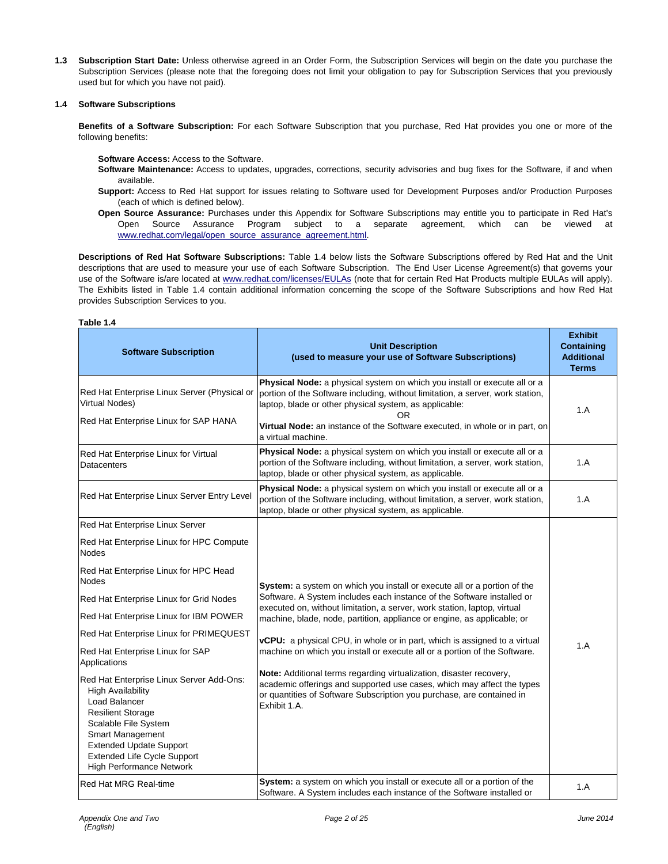**1.3 Subscription Start Date:** Unless otherwise agreed in an Order Form, the Subscription Services will begin on the date you purchase the Subscription Services (please note that the foregoing does not limit your obligation to pay for Subscription Services that you previously used but for which you have not paid).

### **1.4 Software Subscriptions**

**Benefits of a Software Subscription:** For each Software Subscription that you purchase, Red Hat provides you one or more of the following benefits:

**Software Access:** Access to the Software.

- **Software Maintenance:** Access to updates, upgrades, corrections, security advisories and bug fixes for the Software, if and when available.
- **Support:** Access to Red Hat support for issues relating to Software used for Development Purposes and/or Production Purposes (each of which is defined below).
- **Open Source Assurance:** Purchases under this Appendix for Software Subscriptions may entitle you to participate in Red Hat's Open Source Assurance Program subject to a separate agreement, which can be viewed at www.redhat.com/legal/open\_source\_assurance\_agreement.html.

**Descriptions of Red Hat Software Subscriptions:** Table 1.4 below lists the Software Subscriptions offered by Red Hat and the Unit descriptions that are used to measure your use of each Software Subscription. The End User License Agreement(s) that governs your use of the Software is/are located at www.redhat.com/licenses/EULAs (note that for certain Red Hat Products multiple EULAs will apply). The Exhibits listed in Table 1.4 contain additional information concerning the scope of the Software Subscriptions and how Red Hat provides Subscription Services to you.

| able |  |
|------|--|
|------|--|

| <b>Software Subscription</b>                                                                                                                                                                                                                                      | <b>Unit Description</b><br>(used to measure your use of Software Subscriptions)                                                                                                                                                                                                                                                  | <b>Exhibit</b><br><b>Containing</b><br><b>Additional</b><br><b>Terms</b> |
|-------------------------------------------------------------------------------------------------------------------------------------------------------------------------------------------------------------------------------------------------------------------|----------------------------------------------------------------------------------------------------------------------------------------------------------------------------------------------------------------------------------------------------------------------------------------------------------------------------------|--------------------------------------------------------------------------|
| Red Hat Enterprise Linux Server (Physical or<br>Virtual Nodes)<br>Red Hat Enterprise Linux for SAP HANA                                                                                                                                                           | Physical Node: a physical system on which you install or execute all or a<br>portion of the Software including, without limitation, a server, work station,<br>laptop, blade or other physical system, as applicable:<br>0R<br>Virtual Node: an instance of the Software executed, in whole or in part, on<br>a virtual machine. | 1.A                                                                      |
| Red Hat Enterprise Linux for Virtual<br>Datacenters                                                                                                                                                                                                               | Physical Node: a physical system on which you install or execute all or a<br>portion of the Software including, without limitation, a server, work station,<br>laptop, blade or other physical system, as applicable.                                                                                                            | 1.A                                                                      |
| Red Hat Enterprise Linux Server Entry Level                                                                                                                                                                                                                       | Physical Node: a physical system on which you install or execute all or a<br>portion of the Software including, without limitation, a server, work station,<br>laptop, blade or other physical system, as applicable.                                                                                                            | 1.A                                                                      |
| Red Hat Enterprise Linux Server                                                                                                                                                                                                                                   |                                                                                                                                                                                                                                                                                                                                  |                                                                          |
| Red Hat Enterprise Linux for HPC Compute<br><b>Nodes</b>                                                                                                                                                                                                          |                                                                                                                                                                                                                                                                                                                                  |                                                                          |
| Red Hat Enterprise Linux for HPC Head<br><b>Nodes</b>                                                                                                                                                                                                             | System: a system on which you install or execute all or a portion of the                                                                                                                                                                                                                                                         |                                                                          |
| Red Hat Enterprise Linux for Grid Nodes                                                                                                                                                                                                                           | Software. A System includes each instance of the Software installed or                                                                                                                                                                                                                                                           |                                                                          |
| Red Hat Enterprise Linux for IBM POWER                                                                                                                                                                                                                            | executed on, without limitation, a server, work station, laptop, virtual<br>machine, blade, node, partition, appliance or engine, as applicable; or                                                                                                                                                                              |                                                                          |
| Red Hat Enterprise Linux for PRIMEQUEST                                                                                                                                                                                                                           | vCPU: a physical CPU, in whole or in part, which is assigned to a virtual                                                                                                                                                                                                                                                        |                                                                          |
| Red Hat Enterprise Linux for SAP<br>Applications                                                                                                                                                                                                                  | machine on which you install or execute all or a portion of the Software.                                                                                                                                                                                                                                                        | 1.A                                                                      |
| Red Hat Enterprise Linux Server Add-Ons:<br><b>High Availability</b><br>Load Balancer<br><b>Resilient Storage</b><br>Scalable File System<br><b>Smart Management</b><br><b>Extended Update Support</b><br>Extended Life Cycle Support<br>High Performance Network | Note: Additional terms regarding virtualization, disaster recovery,<br>academic offerings and supported use cases, which may affect the types<br>or quantities of Software Subscription you purchase, are contained in<br>Exhibit 1.A.                                                                                           |                                                                          |
| Red Hat MRG Real-time                                                                                                                                                                                                                                             | System: a system on which you install or execute all or a portion of the<br>Software. A System includes each instance of the Software installed or                                                                                                                                                                               | 1.A                                                                      |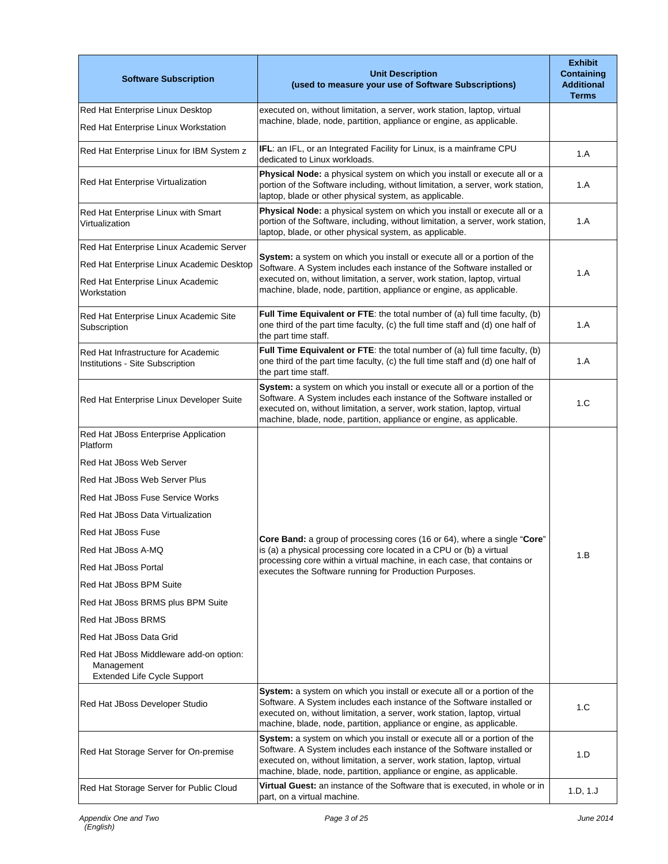| <b>Software Subscription</b>                                                         | <b>Unit Description</b><br>(used to measure your use of Software Subscriptions)                                                                                                                                                                                                                        | <b>Exhibit</b><br><b>Containing</b><br><b>Additional</b><br><b>Terms</b> |
|--------------------------------------------------------------------------------------|--------------------------------------------------------------------------------------------------------------------------------------------------------------------------------------------------------------------------------------------------------------------------------------------------------|--------------------------------------------------------------------------|
| Red Hat Enterprise Linux Desktop<br>Red Hat Enterprise Linux Workstation             | executed on, without limitation, a server, work station, laptop, virtual<br>machine, blade, node, partition, appliance or engine, as applicable.                                                                                                                                                       |                                                                          |
| Red Hat Enterprise Linux for IBM System z                                            | IFL: an IFL, or an Integrated Facility for Linux, is a mainframe CPU<br>dedicated to Linux workloads.                                                                                                                                                                                                  | 1.A                                                                      |
| Red Hat Enterprise Virtualization                                                    | Physical Node: a physical system on which you install or execute all or a<br>portion of the Software including, without limitation, a server, work station,<br>laptop, blade or other physical system, as applicable.                                                                                  | 1.A                                                                      |
| Red Hat Enterprise Linux with Smart<br>Virtualization                                | Physical Node: a physical system on which you install or execute all or a<br>portion of the Software, including, without limitation, a server, work station,<br>laptop, blade, or other physical system, as applicable.                                                                                | 1.A                                                                      |
| Red Hat Enterprise Linux Academic Server                                             |                                                                                                                                                                                                                                                                                                        |                                                                          |
| Red Hat Enterprise Linux Academic Desktop                                            | System: a system on which you install or execute all or a portion of the<br>Software. A System includes each instance of the Software installed or                                                                                                                                                     |                                                                          |
| Red Hat Enterprise Linux Academic<br>Workstation                                     | executed on, without limitation, a server, work station, laptop, virtual<br>machine, blade, node, partition, appliance or engine, as applicable.                                                                                                                                                       | 1.A                                                                      |
| Red Hat Enterprise Linux Academic Site<br>Subscription                               | Full Time Equivalent or FTE: the total number of (a) full time faculty, (b)<br>one third of the part time faculty, (c) the full time staff and (d) one half of<br>the part time staff.                                                                                                                 | 1.A                                                                      |
| Red Hat Infrastructure for Academic<br>Institutions - Site Subscription              | Full Time Equivalent or FTE: the total number of (a) full time faculty, (b)<br>one third of the part time faculty, (c) the full time staff and (d) one half of<br>the part time staff.                                                                                                                 | 1.A                                                                      |
| Red Hat Enterprise Linux Developer Suite                                             | System: a system on which you install or execute all or a portion of the<br>Software. A System includes each instance of the Software installed or<br>executed on, without limitation, a server, work station, laptop, virtual<br>machine, blade, node, partition, appliance or engine, as applicable. | 1.C                                                                      |
| Red Hat JBoss Enterprise Application<br>Platform                                     |                                                                                                                                                                                                                                                                                                        |                                                                          |
|                                                                                      |                                                                                                                                                                                                                                                                                                        |                                                                          |
| Red Hat JBoss Web Server                                                             |                                                                                                                                                                                                                                                                                                        |                                                                          |
| Red Hat JBoss Web Server Plus                                                        |                                                                                                                                                                                                                                                                                                        |                                                                          |
| Red Hat JBoss Fuse Service Works                                                     |                                                                                                                                                                                                                                                                                                        |                                                                          |
| Red Hat JBoss Data Virtualization                                                    |                                                                                                                                                                                                                                                                                                        |                                                                          |
| <b>Red Hat JBoss Fuse</b>                                                            | Core Band: a group of processing cores (16 or 64), where a single "Core"                                                                                                                                                                                                                               |                                                                          |
| Red Hat JBoss A-MQ                                                                   | is (a) a physical processing core located in a CPU or (b) a virtual<br>processing core within a virtual machine, in each case, that contains or                                                                                                                                                        | 1.B                                                                      |
| Red Hat JBoss Portal                                                                 | executes the Software running for Production Purposes.                                                                                                                                                                                                                                                 |                                                                          |
| Red Hat JBoss BPM Suite                                                              |                                                                                                                                                                                                                                                                                                        |                                                                          |
| Red Hat JBoss BRMS plus BPM Suite                                                    |                                                                                                                                                                                                                                                                                                        |                                                                          |
| Red Hat JBoss BRMS                                                                   |                                                                                                                                                                                                                                                                                                        |                                                                          |
| Red Hat JBoss Data Grid                                                              |                                                                                                                                                                                                                                                                                                        |                                                                          |
| Red Hat JBoss Middleware add-on option:<br>Management<br>Extended Life Cycle Support |                                                                                                                                                                                                                                                                                                        |                                                                          |
| Red Hat JBoss Developer Studio                                                       | System: a system on which you install or execute all or a portion of the<br>Software. A System includes each instance of the Software installed or<br>executed on, without limitation, a server, work station, laptop, virtual<br>machine, blade, node, partition, appliance or engine, as applicable. | 1.C                                                                      |
| Red Hat Storage Server for On-premise                                                | System: a system on which you install or execute all or a portion of the<br>Software. A System includes each instance of the Software installed or<br>executed on, without limitation, a server, work station, laptop, virtual<br>machine, blade, node, partition, appliance or engine, as applicable. | 1.D                                                                      |
| Red Hat Storage Server for Public Cloud                                              | Virtual Guest: an instance of the Software that is executed, in whole or in<br>part, on a virtual machine.                                                                                                                                                                                             | 1.D, 1.J                                                                 |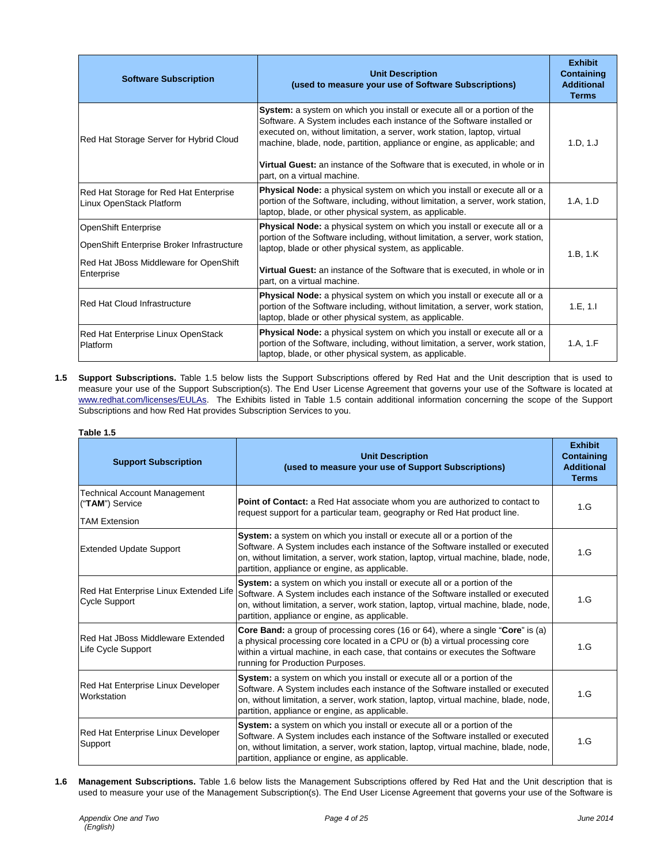| <b>Software Subscription</b>                                                                                                      | <b>Unit Description</b><br>(used to measure your use of Software Subscriptions)                                                                                                                                                                                                                                                                                                                                                 | <b>Exhibit</b><br>Containing<br><b>Additional</b><br><b>Terms</b> |
|-----------------------------------------------------------------------------------------------------------------------------------|---------------------------------------------------------------------------------------------------------------------------------------------------------------------------------------------------------------------------------------------------------------------------------------------------------------------------------------------------------------------------------------------------------------------------------|-------------------------------------------------------------------|
| Red Hat Storage Server for Hybrid Cloud                                                                                           | <b>System:</b> a system on which you install or execute all or a portion of the<br>Software. A System includes each instance of the Software installed or<br>executed on, without limitation, a server, work station, laptop, virtual<br>machine, blade, node, partition, appliance or engine, as applicable; and<br>Virtual Guest: an instance of the Software that is executed, in whole or in<br>part, on a virtual machine. | 1.D, 1.J                                                          |
| Red Hat Storage for Red Hat Enterprise<br>Linux OpenStack Platform                                                                | <b>Physical Node:</b> a physical system on which you install or execute all or a<br>portion of the Software, including, without limitation, a server, work station,<br>laptop, blade, or other physical system, as applicable.                                                                                                                                                                                                  | 1.A, 1.D                                                          |
| <b>OpenShift Enterprise</b><br>OpenShift Enterprise Broker Infrastructure<br>Red Hat JBoss Middleware for OpenShift<br>Enterprise | <b>Physical Node:</b> a physical system on which you install or execute all or a<br>portion of the Software including, without limitation, a server, work station,<br>laptop, blade or other physical system, as applicable.<br>Virtual Guest: an instance of the Software that is executed, in whole or in<br>part, on a virtual machine.                                                                                      | 1.B, 1.K                                                          |
| Red Hat Cloud Infrastructure                                                                                                      | <b>Physical Node:</b> a physical system on which you install or execute all or a<br>portion of the Software including, without limitation, a server, work station,<br>laptop, blade or other physical system, as applicable.                                                                                                                                                                                                    | 1.E, 1.I                                                          |
| Red Hat Enterprise Linux OpenStack<br>Platform                                                                                    | <b>Physical Node:</b> a physical system on which you install or execute all or a<br>portion of the Software, including, without limitation, a server, work station,<br>laptop, blade, or other physical system, as applicable.                                                                                                                                                                                                  | 1.A, 1.F                                                          |

**1.5 Support Subscriptions.** Table 1.5 below lists the Support Subscriptions offered by Red Hat and the Unit description that is used to measure your use of the Support Subscription(s). The End User License Agreement that governs your use of the Software is located at www.redhat.com/licenses/EULAs. The Exhibits listed in Table 1.5 contain additional information concerning the scope of the Support Subscriptions and how Red Hat provides Subscription Services to you.

#### **Table 1.5**

| <b>Support Subscription</b>                                                    | <b>Unit Description</b><br>(used to measure your use of Support Subscriptions)                                                                                                                                                                                                                                | <b>Exhibit</b><br><b>Containing</b><br><b>Additional</b><br><b>Terms</b> |
|--------------------------------------------------------------------------------|---------------------------------------------------------------------------------------------------------------------------------------------------------------------------------------------------------------------------------------------------------------------------------------------------------------|--------------------------------------------------------------------------|
| <b>Technical Account Management</b><br>("TAM") Service<br><b>TAM Extension</b> | Point of Contact: a Red Hat associate whom you are authorized to contact to<br>request support for a particular team, geography or Red Hat product line.                                                                                                                                                      | 1.G                                                                      |
| <b>Extended Update Support</b>                                                 | System: a system on which you install or execute all or a portion of the<br>Software. A System includes each instance of the Software installed or executed<br>on, without limitation, a server, work station, laptop, virtual machine, blade, node,<br>partition, appliance or engine, as applicable.        | 1.G                                                                      |
| Red Hat Enterprise Linux Extended Life<br>Cycle Support                        | System: a system on which you install or execute all or a portion of the<br>Software. A System includes each instance of the Software installed or executed<br>on, without limitation, a server, work station, laptop, virtual machine, blade, node,<br>partition, appliance or engine, as applicable.        | 1.G                                                                      |
| Red Hat JBoss Middleware Extended<br>Life Cycle Support                        | Core Band: a group of processing cores (16 or 64), where a single "Core" is (a)<br>a physical processing core located in a CPU or (b) a virtual processing core<br>within a virtual machine, in each case, that contains or executes the Software<br>running for Production Purposes.                         | 1.G                                                                      |
| Red Hat Enterprise Linux Developer<br>Workstation                              | <b>System:</b> a system on which you install or execute all or a portion of the<br>Software. A System includes each instance of the Software installed or executed<br>on, without limitation, a server, work station, laptop, virtual machine, blade, node,<br>partition, appliance or engine, as applicable. | 1.G                                                                      |
| Red Hat Enterprise Linux Developer<br>Support                                  | System: a system on which you install or execute all or a portion of the<br>Software. A System includes each instance of the Software installed or executed<br>on, without limitation, a server, work station, laptop, virtual machine, blade, node,<br>partition, appliance or engine, as applicable.        | 1.G                                                                      |

**1.6 Management Subscriptions.** Table 1.6 below lists the Management Subscriptions offered by Red Hat and the Unit description that is used to measure your use of the Management Subscription(s). The End User License Agreement that governs your use of the Software is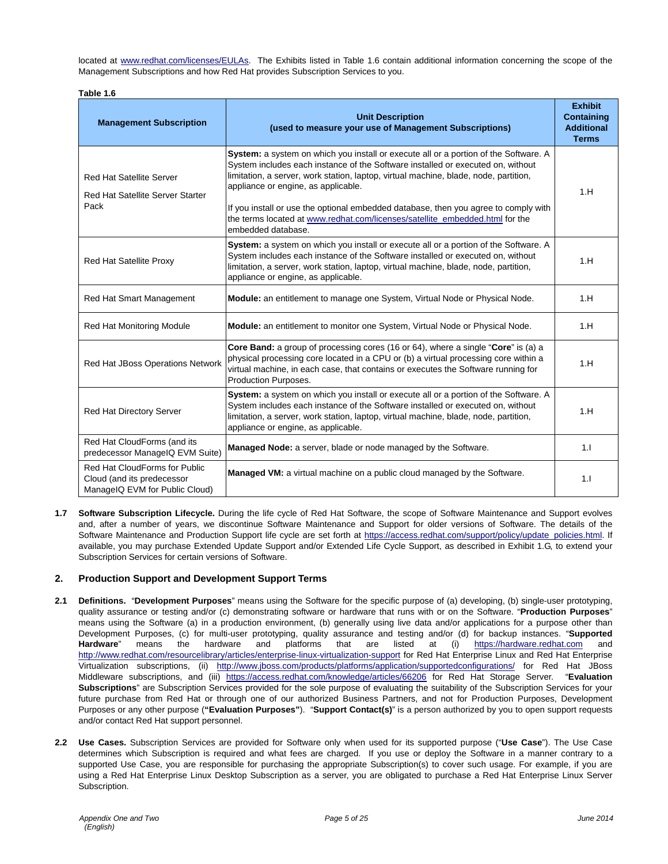located at www.redhat.com/licenses/EULAs. The Exhibits listed in Table 1.6 contain additional information concerning the scope of the Management Subscriptions and how Red Hat provides Subscription Services to you.

| Table 1.6                                                                                     |                                                                                                                                                                                                                                                                                                                                                                                                                                                                                                     |                                                                          |
|-----------------------------------------------------------------------------------------------|-----------------------------------------------------------------------------------------------------------------------------------------------------------------------------------------------------------------------------------------------------------------------------------------------------------------------------------------------------------------------------------------------------------------------------------------------------------------------------------------------------|--------------------------------------------------------------------------|
| <b>Management Subscription</b>                                                                | <b>Unit Description</b><br>(used to measure your use of Management Subscriptions)                                                                                                                                                                                                                                                                                                                                                                                                                   | <b>Exhibit</b><br><b>Containing</b><br><b>Additional</b><br><b>Terms</b> |
| <b>Red Hat Satellite Server</b><br><b>Red Hat Satellite Server Starter</b><br>Pack            | System: a system on which you install or execute all or a portion of the Software. A<br>System includes each instance of the Software installed or executed on, without<br>limitation, a server, work station, laptop, virtual machine, blade, node, partition,<br>appliance or engine, as applicable.<br>If you install or use the optional embedded database, then you agree to comply with<br>the terms located at www.redhat.com/licenses/satellite embedded.html for the<br>embedded database. | 1.H                                                                      |
| <b>Red Hat Satellite Proxy</b>                                                                | System: a system on which you install or execute all or a portion of the Software. A<br>System includes each instance of the Software installed or executed on, without<br>limitation, a server, work station, laptop, virtual machine, blade, node, partition,<br>appliance or engine, as applicable.                                                                                                                                                                                              | 1.H                                                                      |
| Red Hat Smart Management                                                                      | Module: an entitlement to manage one System, Virtual Node or Physical Node.                                                                                                                                                                                                                                                                                                                                                                                                                         | 1.H                                                                      |
| Red Hat Monitoring Module                                                                     | Module: an entitlement to monitor one System, Virtual Node or Physical Node.                                                                                                                                                                                                                                                                                                                                                                                                                        | 1.H                                                                      |
| Red Hat JBoss Operations Network                                                              | Core Band: a group of processing cores (16 or 64), where a single "Core" is (a) a<br>physical processing core located in a CPU or (b) a virtual processing core within a<br>virtual machine, in each case, that contains or executes the Software running for<br>Production Purposes.                                                                                                                                                                                                               | 1.H                                                                      |
| Red Hat Directory Server                                                                      | System: a system on which you install or execute all or a portion of the Software. A<br>System includes each instance of the Software installed or executed on, without<br>limitation, a server, work station, laptop, virtual machine, blade, node, partition,<br>appliance or engine, as applicable.                                                                                                                                                                                              | 1.H                                                                      |
| Red Hat CloudForms (and its<br>predecessor ManageIQ EVM Suite)                                | Managed Node: a server, blade or node managed by the Software.                                                                                                                                                                                                                                                                                                                                                                                                                                      | 1.1                                                                      |
| Red Hat CloudForms for Public<br>Cloud (and its predecessor<br>ManageIQ EVM for Public Cloud) | <b>Managed VM:</b> a virtual machine on a public cloud managed by the Software.                                                                                                                                                                                                                                                                                                                                                                                                                     | 1.1                                                                      |

**1.7 Software Subscription Lifecycle.** During the life cycle of Red Hat Software, the scope of Software Maintenance and Support evolves and, after a number of years, we discontinue Software Maintenance and Support for older versions of Software. The details of the Software Maintenance and Production Support life cycle are set forth at https://access.redhat.com/support/policy/update\_policies.html. If available, you may purchase Extended Update Support and/or Extended Life Cycle Support, as described in Exhibit 1.G, to extend your Subscription Services for certain versions of Software.

# **2. Production Support and Development Support Terms**

- **2.1 Definitions.** "**Development Purposes**" means using the Software for the specific purpose of (a) developing, (b) single-user prototyping, quality assurance or testing and/or (c) demonstrating software or hardware that runs with or on the Software. "**Production Purposes**" means using the Software (a) in a production environment, (b) generally using live data and/or applications for a purpose other than Development Purposes, (c) for multi-user prototyping, quality assurance and testing and/or (d) for backup instances. "**Supported Hardware**" means the hardware and platforms that are listed at (i) https://hardware.redhat.com and http://www.redhat.com/resourcelibrary/articles/enterprise-linux-virtualization-support for Red Hat Enterprise Linux and Red Hat Enterprise Virtualization subscriptions, (ii) http://www.jboss.com/products/platforms/application/supportedconfigurations/ for Red Hat JBoss Middleware subscriptions, and (iii) https://access.redhat.com/knowledge/articles/66206 for Red Hat Storage Server. "**Evaluation Subscriptions**" are Subscription Services provided for the sole purpose of evaluating the suitability of the Subscription Services for your future purchase from Red Hat or through one of our authorized Business Partners, and not for Production Purposes, Development Purposes or any other purpose (**"Evaluation Purposes"**). "**Support Contact(s)**" is a person authorized by you to open support requests and/or contact Red Hat support personnel.
- **2.2 Use Cases.** Subscription Services are provided for Software only when used for its supported purpose ("**Use Case**"). The Use Case determines which Subscription is required and what fees are charged. If you use or deploy the Software in a manner contrary to a supported Use Case, you are responsible for purchasing the appropriate Subscription(s) to cover such usage. For example, if you are using a Red Hat Enterprise Linux Desktop Subscription as a server, you are obligated to purchase a Red Hat Enterprise Linux Server Subscription.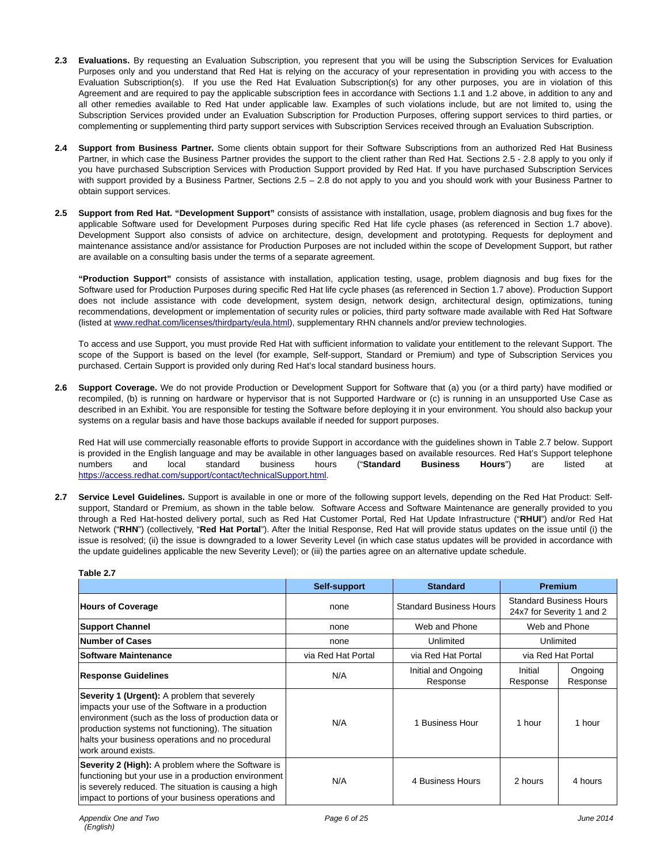- **2.3 Evaluations.** By requesting an Evaluation Subscription, you represent that you will be using the Subscription Services for Evaluation Purposes only and you understand that Red Hat is relying on the accuracy of your representation in providing you with access to the Evaluation Subscription(s). If you use the Red Hat Evaluation Subscription(s) for any other purposes, you are in violation of this Agreement and are required to pay the applicable subscription fees in accordance with Sections 1.1 and 1.2 above, in addition to any and all other remedies available to Red Hat under applicable law. Examples of such violations include, but are not limited to, using the Subscription Services provided under an Evaluation Subscription for Production Purposes, offering support services to third parties, or complementing or supplementing third party support services with Subscription Services received through an Evaluation Subscription.
- **2.4 Support from Business Partner.** Some clients obtain support for their Software Subscriptions from an authorized Red Hat Business Partner, in which case the Business Partner provides the support to the client rather than Red Hat. Sections 2.5 - 2.8 apply to you only if you have purchased Subscription Services with Production Support provided by Red Hat. If you have purchased Subscription Services with support provided by a Business Partner, Sections 2.5 – 2.8 do not apply to you and you should work with your Business Partner to obtain support services.
- **2.5 Support from Red Hat. "Development Support"** consists of assistance with installation, usage, problem diagnosis and bug fixes for the applicable Software used for Development Purposes during specific Red Hat life cycle phases (as referenced in Section 1.7 above). Development Support also consists of advice on architecture, design, development and prototyping. Requests for deployment and maintenance assistance and/or assistance for Production Purposes are not included within the scope of Development Support, but rather are available on a consulting basis under the terms of a separate agreement.

**"Production Support"** consists of assistance with installation, application testing, usage, problem diagnosis and bug fixes for the Software used for Production Purposes during specific Red Hat life cycle phases (as referenced in Section 1.7 above). Production Support does not include assistance with code development, system design, network design, architectural design, optimizations, tuning recommendations, development or implementation of security rules or policies, third party software made available with Red Hat Software (listed at www.redhat.com/licenses/thirdparty/eula.html), supplementary RHN channels and/or preview technologies.

To access and use Support, you must provide Red Hat with sufficient information to validate your entitlement to the relevant Support. The scope of the Support is based on the level (for example, Self-support, Standard or Premium) and type of Subscription Services you purchased. Certain Support is provided only during Red Hat's local standard business hours.

**2.6 Support Coverage.** We do not provide Production or Development Support for Software that (a) you (or a third party) have modified or recompiled, (b) is running on hardware or hypervisor that is not Supported Hardware or (c) is running in an unsupported Use Case as described in an Exhibit. You are responsible for testing the Software before deploying it in your environment. You should also backup your systems on a regular basis and have those backups available if needed for support purposes.

Red Hat will use commercially reasonable efforts to provide Support in accordance with the guidelines shown in Table 2.7 below. Support is provided in the English language and may be available in other languages based on available resources. Red Hat's Support telephone numbers and local standard business hours ("**Standard Business Hours**") are listed at https://access.redhat.com/support/contact/technicalSupport.html.

**2.7 Service Level Guidelines.** Support is available in one or more of the following support levels, depending on the Red Hat Product: Selfsupport, Standard or Premium, as shown in the table below. Software Access and Software Maintenance are generally provided to you through a Red Hat-hosted delivery portal, such as Red Hat Customer Portal, Red Hat Update Infrastructure ("**RHUI**") and/or Red Hat Network ("**RHN**") (collectively, "**Red Hat Portal**"). After the Initial Response, Red Hat will provide status updates on the issue until (i) the issue is resolved; (ii) the issue is downgraded to a lower Severity Level (in which case status updates will be provided in accordance with the update guidelines applicable the new Severity Level); or (iii) the parties agree on an alternative update schedule.

| Tapie 4.7                                                                                                                                                                                                                                                                                       |                    |                                 |                     |                                                             |
|-------------------------------------------------------------------------------------------------------------------------------------------------------------------------------------------------------------------------------------------------------------------------------------------------|--------------------|---------------------------------|---------------------|-------------------------------------------------------------|
|                                                                                                                                                                                                                                                                                                 | Self-support       | <b>Standard</b>                 |                     | <b>Premium</b>                                              |
| <b>Hours of Coverage</b>                                                                                                                                                                                                                                                                        | none               | <b>Standard Business Hours</b>  |                     | <b>Standard Business Hours</b><br>24x7 for Severity 1 and 2 |
| <b>Support Channel</b>                                                                                                                                                                                                                                                                          | none               | Web and Phone                   |                     | Web and Phone                                               |
| <b>Number of Cases</b>                                                                                                                                                                                                                                                                          | none               | Unlimited                       |                     | Unlimited                                                   |
| <b>Software Maintenance</b>                                                                                                                                                                                                                                                                     | via Red Hat Portal | via Red Hat Portal              |                     | via Red Hat Portal                                          |
| <b>Response Guidelines</b>                                                                                                                                                                                                                                                                      | N/A                | Initial and Ongoing<br>Response | Initial<br>Response | Ongoing<br>Response                                         |
| <b>Severity 1 (Urgent):</b> A problem that severely<br>impacts your use of the Software in a production<br>environment (such as the loss of production data or<br>production systems not functioning). The situation<br>halts your business operations and no procedural<br>work around exists. | N/A                | 1 Business Hour                 | 1 hour              | 1 hour                                                      |
| <b>Severity 2 (High):</b> A problem where the Software is<br>functioning but your use in a production environment<br>is severely reduced. The situation is causing a high<br>impact to portions of your business operations and                                                                 | N/A                | 4 Business Hours                | 2 hours             | 4 hours                                                     |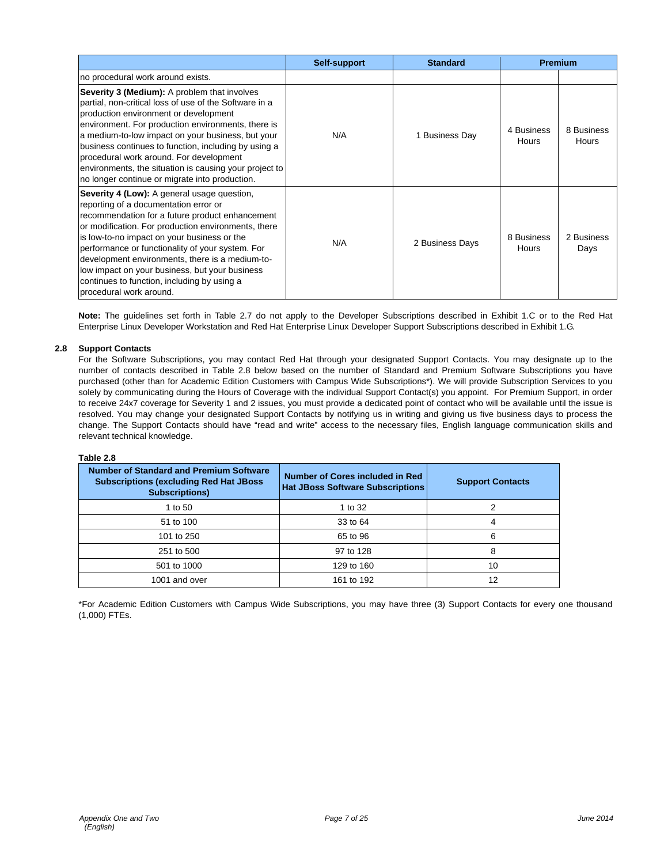|                                                                                                                                                                                                                                                                                                                                                                                                                                                                                  | Self-support | <b>Standard</b> |                     | <b>Premium</b>      |
|----------------------------------------------------------------------------------------------------------------------------------------------------------------------------------------------------------------------------------------------------------------------------------------------------------------------------------------------------------------------------------------------------------------------------------------------------------------------------------|--------------|-----------------|---------------------|---------------------|
| no procedural work around exists.                                                                                                                                                                                                                                                                                                                                                                                                                                                |              |                 |                     |                     |
| Severity 3 (Medium): A problem that involves<br>partial, non-critical loss of use of the Software in a<br>production environment or development<br>environment. For production environments, there is<br>a medium-to-low impact on your business, but your<br>business continues to function, including by using a<br>procedural work around. For development<br>environments, the situation is causing your project to<br>no longer continue or migrate into production.        | N/A          | 1 Business Day  | 4 Business<br>Hours | 8 Business<br>Hours |
| Severity 4 (Low): A general usage question,<br>reporting of a documentation error or<br>recommendation for a future product enhancement<br>or modification. For production environments, there<br>is low-to-no impact on your business or the<br>performance or functionality of your system. For<br>development environments, there is a medium-to-<br>low impact on your business, but your business<br>continues to function, including by using a<br>procedural work around. | N/A          | 2 Business Days | 8 Business<br>Hours | 2 Business<br>Days  |

**Note:** The guidelines set forth in Table 2.7 do not apply to the Developer Subscriptions described in Exhibit 1.C or to the Red Hat Enterprise Linux Developer Workstation and Red Hat Enterprise Linux Developer Support Subscriptions described in Exhibit 1.G.

## **2.8 Support Contacts**

For the Software Subscriptions, you may contact Red Hat through your designated Support Contacts. You may designate up to the number of contacts described in Table 2.8 below based on the number of Standard and Premium Software Subscriptions you have purchased (other than for Academic Edition Customers with Campus Wide Subscriptions\*). We will provide Subscription Services to you solely by communicating during the Hours of Coverage with the individual Support Contact(s) you appoint. For Premium Support, in order to receive 24x7 coverage for Severity 1 and 2 issues, you must provide a dedicated point of contact who will be available until the issue is resolved. You may change your designated Support Contacts by notifying us in writing and giving us five business days to process the change. The Support Contacts should have "read and write" access to the necessary files, English language communication skills and relevant technical knowledge.

#### **Table 2.8**

| <b>Number of Standard and Premium Software</b><br><b>Subscriptions (excluding Red Hat JBoss)</b><br><b>Subscriptions)</b> | <b>Number of Cores included in Red</b><br><b>Hat JBoss Software Subscriptions</b> | <b>Support Contacts</b> |
|---------------------------------------------------------------------------------------------------------------------------|-----------------------------------------------------------------------------------|-------------------------|
| 1 to 50                                                                                                                   | 1 to 32                                                                           |                         |
| 51 to 100                                                                                                                 | 33 to 64                                                                          | 4                       |
| 101 to 250                                                                                                                | 65 to 96                                                                          | 6                       |
| 251 to 500                                                                                                                | 97 to 128                                                                         | 8                       |
| 501 to 1000                                                                                                               | 129 to 160                                                                        | 10                      |
| 1001 and over                                                                                                             | 161 to 192                                                                        | 12                      |

\*For Academic Edition Customers with Campus Wide Subscriptions, you may have three (3) Support Contacts for every one thousand (1,000) FTEs.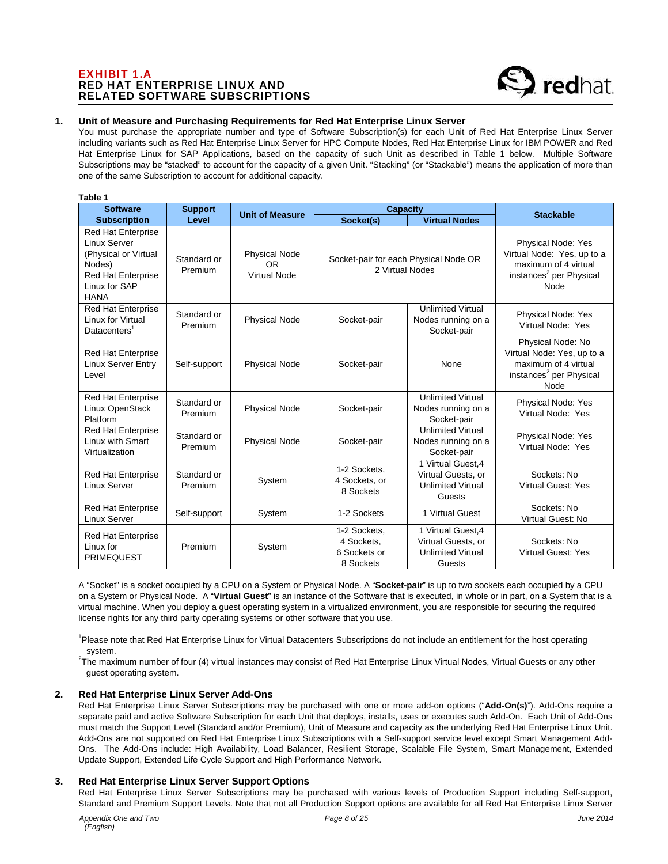# EXHIBIT 1.A RED HAT ENTERPRISE LINUX AND RELATED SOFTWARE SUBSCRIPTIONS

**Table 1** 



# **1. Unit of Measure and Purchasing Requirements for Red Hat Enterprise Linux Server**

You must purchase the appropriate number and type of Software Subscription(s) for each Unit of Red Hat Enterprise Linux Server including variants such as Red Hat Enterprise Linux Server for HPC Compute Nodes, Red Hat Enterprise Linux for IBM POWER and Red Hat Enterprise Linux for SAP Applications, based on the capacity of such Unit as described in Table 1 below. Multiple Software Subscriptions may be "stacked" to account for the capacity of a given Unit. "Stacking" (or "Stackable") means the application of more than one of the same Subscription to account for additional capacity.

| rapie 1                                                                                                                           | <b>Capacity</b><br><b>Software</b><br><b>Support</b> |                                                   |                                                          |                                                                                |                                                                                                                                |
|-----------------------------------------------------------------------------------------------------------------------------------|------------------------------------------------------|---------------------------------------------------|----------------------------------------------------------|--------------------------------------------------------------------------------|--------------------------------------------------------------------------------------------------------------------------------|
| <b>Subscription</b>                                                                                                               | Level                                                | <b>Unit of Measure</b>                            | <b>Virtual Nodes</b><br>Socket(s)                        |                                                                                | <b>Stackable</b>                                                                                                               |
| <b>Red Hat Enterprise</b><br>Linux Server<br>(Physical or Virtual<br>Nodes)<br>Red Hat Enterprise<br>Linux for SAP<br><b>HANA</b> | Standard or<br>Premium                               | <b>Physical Node</b><br><b>OR</b><br>Virtual Node | Socket-pair for each Physical Node OR<br>2 Virtual Nodes |                                                                                | <b>Physical Node: Yes</b><br>Virtual Node: Yes, up to a<br>maximum of 4 virtual<br>instances <sup>2</sup> per Physical<br>Node |
| Red Hat Enterprise<br>Linux for Virtual<br>Datacenters <sup>1</sup>                                                               | Standard or<br>Premium                               | <b>Physical Node</b>                              | Socket-pair                                              | <b>Unlimited Virtual</b><br>Nodes running on a<br>Socket-pair                  | Physical Node: Yes<br>Virtual Node: Yes                                                                                        |
| <b>Red Hat Enterprise</b><br><b>Linux Server Entry</b><br>Level                                                                   | Self-support                                         | <b>Physical Node</b>                              | Socket-pair                                              | None                                                                           | Physical Node: No<br>Virtual Node: Yes, up to a<br>maximum of 4 virtual<br>instances <sup>2</sup> per Physical<br>Node         |
| <b>Red Hat Enterprise</b><br>Linux OpenStack<br>Platform                                                                          | Standard or<br>Premium                               | <b>Physical Node</b>                              | Socket-pair                                              | <b>Unlimited Virtual</b><br>Nodes running on a<br>Socket-pair                  | Physical Node: Yes<br>Virtual Node: Yes                                                                                        |
| <b>Red Hat Enterprise</b><br>Linux with Smart<br>Virtualization                                                                   | Standard or<br>Premium                               | <b>Physical Node</b>                              | Socket-pair                                              | <b>Unlimited Virtual</b><br>Nodes running on a<br>Socket-pair                  | Physical Node: Yes<br>Virtual Node: Yes                                                                                        |
| Red Hat Enterprise<br><b>Linux Server</b>                                                                                         | Standard or<br>Premium                               | System                                            | 1-2 Sockets,<br>4 Sockets, or<br>8 Sockets               | 1 Virtual Guest, 4<br>Virtual Guests, or<br><b>Unlimited Virtual</b><br>Guests | Sockets: No<br><b>Virtual Guest: Yes</b>                                                                                       |
| <b>Red Hat Enterprise</b><br><b>Linux Server</b>                                                                                  | Self-support                                         | System                                            | 1-2 Sockets                                              | 1 Virtual Guest                                                                | Sockets: No<br>Virtual Guest: No                                                                                               |
| <b>Red Hat Enterprise</b><br>Linux for<br><b>PRIMEQUEST</b>                                                                       | Premium                                              | System                                            | 1-2 Sockets.<br>4 Sockets,<br>6 Sockets or<br>8 Sockets  | 1 Virtual Guest.4<br>Virtual Guests, or<br><b>Unlimited Virtual</b><br>Guests  | Sockets: No<br><b>Virtual Guest: Yes</b>                                                                                       |

A "Socket" is a socket occupied by a CPU on a System or Physical Node. A "**Socket-pair**" is up to two sockets each occupied by a CPU on a System or Physical Node. A "**Virtual Guest**" is an instance of the Software that is executed, in whole or in part, on a System that is a virtual machine. When you deploy a guest operating system in a virtualized environment, you are responsible for securing the required license rights for any third party operating systems or other software that you use.

<sup>1</sup>Please note that Red Hat Enterprise Linux for Virtual Datacenters Subscriptions do not include an entitlement for the host operating

system.<br><sup>2</sup>The maximum number of four (4) virtual instances may consist of Red Hat Enterprise Linux Virtual Nodes, Virtual Guests or any other guest operating system.

### **2. Red Hat Enterprise Linux Server Add-Ons**

Red Hat Enterprise Linux Server Subscriptions may be purchased with one or more add-on options ("**Add-On(s)**"). Add-Ons require a separate paid and active Software Subscription for each Unit that deploys, installs, uses or executes such Add-On. Each Unit of Add-Ons must match the Support Level (Standard and/or Premium), Unit of Measure and capacity as the underlying Red Hat Enterprise Linux Unit. Add-Ons are not supported on Red Hat Enterprise Linux Subscriptions with a Self-support service level except Smart Management Add-Ons. The Add-Ons include: High Availability, Load Balancer, Resilient Storage, Scalable File System, Smart Management, Extended Update Support, Extended Life Cycle Support and High Performance Network.

### **3. Red Hat Enterprise Linux Server Support Options**

Red Hat Enterprise Linux Server Subscriptions may be purchased with various levels of Production Support including Self-support, Standard and Premium Support Levels. Note that not all Production Support options are available for all Red Hat Enterprise Linux Server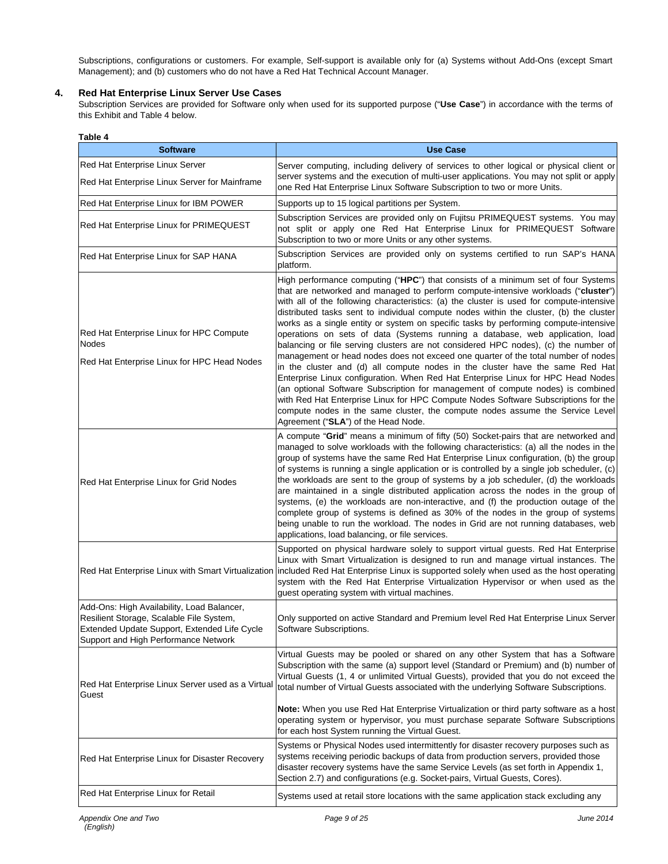Subscriptions, configurations or customers. For example, Self-support is available only for (a) Systems without Add-Ons (except Smart Management); and (b) customers who do not have a Red Hat Technical Account Manager.

# **4. Red Hat Enterprise Linux Server Use Cases**

Subscription Services are provided for Software only when used for its supported purpose ("**Use Case**") in accordance with the terms of this Exhibit and Table 4 below.

| <b>Software</b>                                                                                                                                                                | <b>Use Case</b>                                                                                                                                                                                                                                                                                                                                                                                                                                                                                                                                                                                                                                                                                                                                                                                                                                                                                                                                                                                                                                                                                                                                                                         |
|--------------------------------------------------------------------------------------------------------------------------------------------------------------------------------|-----------------------------------------------------------------------------------------------------------------------------------------------------------------------------------------------------------------------------------------------------------------------------------------------------------------------------------------------------------------------------------------------------------------------------------------------------------------------------------------------------------------------------------------------------------------------------------------------------------------------------------------------------------------------------------------------------------------------------------------------------------------------------------------------------------------------------------------------------------------------------------------------------------------------------------------------------------------------------------------------------------------------------------------------------------------------------------------------------------------------------------------------------------------------------------------|
| Red Hat Enterprise Linux Server                                                                                                                                                | Server computing, including delivery of services to other logical or physical client or                                                                                                                                                                                                                                                                                                                                                                                                                                                                                                                                                                                                                                                                                                                                                                                                                                                                                                                                                                                                                                                                                                 |
| Red Hat Enterprise Linux Server for Mainframe                                                                                                                                  | server systems and the execution of multi-user applications. You may not split or apply<br>one Red Hat Enterprise Linux Software Subscription to two or more Units.                                                                                                                                                                                                                                                                                                                                                                                                                                                                                                                                                                                                                                                                                                                                                                                                                                                                                                                                                                                                                     |
| Red Hat Enterprise Linux for IBM POWER                                                                                                                                         | Supports up to 15 logical partitions per System.                                                                                                                                                                                                                                                                                                                                                                                                                                                                                                                                                                                                                                                                                                                                                                                                                                                                                                                                                                                                                                                                                                                                        |
| Red Hat Enterprise Linux for PRIMEQUEST                                                                                                                                        | Subscription Services are provided only on Fujitsu PRIMEQUEST systems. You may<br>not split or apply one Red Hat Enterprise Linux for PRIMEQUEST Software<br>Subscription to two or more Units or any other systems.                                                                                                                                                                                                                                                                                                                                                                                                                                                                                                                                                                                                                                                                                                                                                                                                                                                                                                                                                                    |
| Red Hat Enterprise Linux for SAP HANA                                                                                                                                          | Subscription Services are provided only on systems certified to run SAP's HANA<br>platform.                                                                                                                                                                                                                                                                                                                                                                                                                                                                                                                                                                                                                                                                                                                                                                                                                                                                                                                                                                                                                                                                                             |
| Red Hat Enterprise Linux for HPC Compute<br><b>Nodes</b><br>Red Hat Enterprise Linux for HPC Head Nodes                                                                        | High performance computing ("HPC") that consists of a minimum set of four Systems<br>that are networked and managed to perform compute-intensive workloads ("cluster")<br>with all of the following characteristics: (a) the cluster is used for compute-intensive<br>distributed tasks sent to individual compute nodes within the cluster, (b) the cluster<br>works as a single entity or system on specific tasks by performing compute-intensive<br>operations on sets of data (Systems running a database, web application, load<br>balancing or file serving clusters are not considered HPC nodes), (c) the number of<br>management or head nodes does not exceed one quarter of the total number of nodes<br>in the cluster and (d) all compute nodes in the cluster have the same Red Hat<br>Enterprise Linux configuration. When Red Hat Enterprise Linux for HPC Head Nodes<br>(an optional Software Subscription for management of compute nodes) is combined<br>with Red Hat Enterprise Linux for HPC Compute Nodes Software Subscriptions for the<br>compute nodes in the same cluster, the compute nodes assume the Service Level<br>Agreement ("SLA") of the Head Node. |
| Red Hat Enterprise Linux for Grid Nodes                                                                                                                                        | A compute "Grid" means a minimum of fifty (50) Socket-pairs that are networked and<br>managed to solve workloads with the following characteristics: (a) all the nodes in the<br>group of systems have the same Red Hat Enterprise Linux configuration, (b) the group<br>of systems is running a single application or is controlled by a single job scheduler, (c)<br>the workloads are sent to the group of systems by a job scheduler, (d) the workloads<br>are maintained in a single distributed application across the nodes in the group of<br>systems, (e) the workloads are non-interactive, and (f) the production outage of the<br>complete group of systems is defined as 30% of the nodes in the group of systems<br>being unable to run the workload. The nodes in Grid are not running databases, web<br>applications, load balancing, or file services.                                                                                                                                                                                                                                                                                                                 |
|                                                                                                                                                                                | Supported on physical hardware solely to support virtual guests. Red Hat Enterprise<br>Linux with Smart Virtualization is designed to run and manage virtual instances. The<br>Red Hat Enterprise Linux with Smart Virtualization lincluded Red Hat Enterprise Linux is supported solely when used as the host operating<br>system with the Red Hat Enterprise Virtualization Hypervisor or when used as the<br>guest operating system with virtual machines.                                                                                                                                                                                                                                                                                                                                                                                                                                                                                                                                                                                                                                                                                                                           |
| Add-Ons: High Availability, Load Balancer,<br>Resilient Storage, Scalable File System,<br>Extended Update Support, Extended Life Cycle<br>Support and High Performance Network | Only supported on active Standard and Premium level Red Hat Enterprise Linux Server<br>Software Subscriptions.                                                                                                                                                                                                                                                                                                                                                                                                                                                                                                                                                                                                                                                                                                                                                                                                                                                                                                                                                                                                                                                                          |
| Red Hat Enterprise Linux Server used as a Virtual<br>Guest                                                                                                                     | Virtual Guests may be pooled or shared on any other System that has a Software<br>Subscription with the same (a) support level (Standard or Premium) and (b) number of<br>Virtual Guests (1, 4 or unlimited Virtual Guests), provided that you do not exceed the<br>total number of Virtual Guests associated with the underlying Software Subscriptions.                                                                                                                                                                                                                                                                                                                                                                                                                                                                                                                                                                                                                                                                                                                                                                                                                               |

scriptions. **Note:** When you use Red Hat Enterprise Virtualization or third party software as a host operating system or hypervisor, you must purchase separate Software Subscriptions for each host System running the Virtual Guest. Red Hat Enterprise Linux for Disaster Recovery Systems or Physical Nodes used intermittently for disaster recovery purposes such as systems receiving periodic backups of data from production servers, provided those disaster recovery systems have the same Service Levels (as set forth in Appendix 1, Section 2.7) and configurations (e.g. Socket-pairs, Virtual Guests, Cores). Red Hat Enterprise Linux for Retail **Systems used at retail store locations** with the same application stack excluding any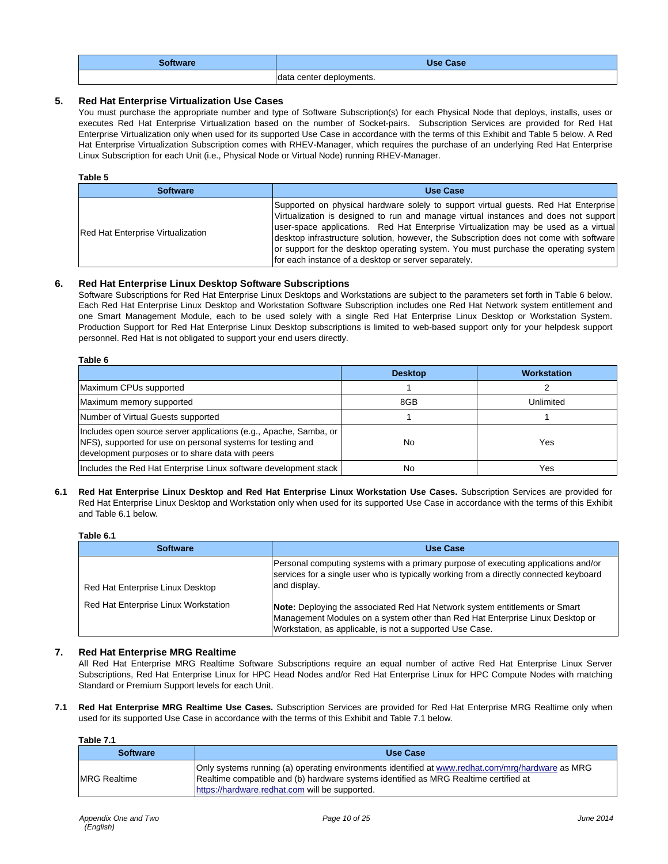| Software | <b>Use Case</b>          |
|----------|--------------------------|
|          | data center deployments. |

# **5. Red Hat Enterprise Virtualization Use Cases**

You must purchase the appropriate number and type of Software Subscription(s) for each Physical Node that deploys, installs, uses or executes Red Hat Enterprise Virtualization based on the number of Socket-pairs. Subscription Services are provided for Red Hat Enterprise Virtualization only when used for its supported Use Case in accordance with the terms of this Exhibit and Table 5 below. A Red Hat Enterprise Virtualization Subscription comes with RHEV-Manager, which requires the purchase of an underlying Red Hat Enterprise Linux Subscription for each Unit (i.e., Physical Node or Virtual Node) running RHEV-Manager.

## **Table 5**

| <b>Software</b>                          | <b>Use Case</b>                                                                                                                                                                                                                                                                                                                                                                                                                                                                                             |  |  |
|------------------------------------------|-------------------------------------------------------------------------------------------------------------------------------------------------------------------------------------------------------------------------------------------------------------------------------------------------------------------------------------------------------------------------------------------------------------------------------------------------------------------------------------------------------------|--|--|
| <b>Red Hat Enterprise Virtualization</b> | Supported on physical hardware solely to support virtual guests. Red Hat Enterprise<br>Virtualization is designed to run and manage virtual instances and does not support<br> user-space applications. Red Hat Enterprise Virtualization may be used as a virtual<br>desktop infrastructure solution, however, the Subscription does not come with software<br>or support for the desktop operating system. You must purchase the operating system<br>for each instance of a desktop or server separately. |  |  |

## **6. Red Hat Enterprise Linux Desktop Software Subscriptions**

Software Subscriptions for Red Hat Enterprise Linux Desktops and Workstations are subject to the parameters set forth in Table 6 below. Each Red Hat Enterprise Linux Desktop and Workstation Software Subscription includes one Red Hat Network system entitlement and one Smart Management Module, each to be used solely with a single Red Hat Enterprise Linux Desktop or Workstation System. Production Support for Red Hat Enterprise Linux Desktop subscriptions is limited to web-based support only for your helpdesk support personnel. Red Hat is not obligated to support your end users directly.

| Table 6                                                                                                                                                                              |                |                    |
|--------------------------------------------------------------------------------------------------------------------------------------------------------------------------------------|----------------|--------------------|
|                                                                                                                                                                                      | <b>Desktop</b> | <b>Workstation</b> |
| Maximum CPUs supported                                                                                                                                                               |                |                    |
| Maximum memory supported                                                                                                                                                             | 8GB            | Unlimited          |
| Number of Virtual Guests supported                                                                                                                                                   |                |                    |
| Includes open source server applications (e.g., Apache, Samba, or<br>NFS), supported for use on personal systems for testing and<br>development purposes or to share data with peers | No             | Yes                |
| Includes the Red Hat Enterprise Linux software development stack                                                                                                                     | No             | Yes                |

### **6.1 Red Hat Enterprise Linux Desktop and Red Hat Enterprise Linux Workstation Use Cases.** Subscription Services are provided for Red Hat Enterprise Linux Desktop and Workstation only when used for its supported Use Case in accordance with the terms of this Exhibit and Table 6.1 below.

**Table 6.1** 

| <b>Software</b>                      | Use Case                                                                                                                                                                                                                 |  |
|--------------------------------------|--------------------------------------------------------------------------------------------------------------------------------------------------------------------------------------------------------------------------|--|
| Red Hat Enterprise Linux Desktop     | Personal computing systems with a primary purpose of executing applications and/or<br>services for a single user who is typically working from a directly connected keyboard<br>and display.                             |  |
| Red Hat Enterprise Linux Workstation | Note: Deploying the associated Red Hat Network system entitlements or Smart<br>Management Modules on a system other than Red Hat Enterprise Linux Desktop or<br>Workstation, as applicable, is not a supported Use Case. |  |

# **7. Red Hat Enterprise MRG Realtime**

All Red Hat Enterprise MRG Realtime Software Subscriptions require an equal number of active Red Hat Enterprise Linux Server Subscriptions, Red Hat Enterprise Linux for HPC Head Nodes and/or Red Hat Enterprise Linux for HPC Compute Nodes with matching Standard or Premium Support levels for each Unit.

**7.1 Red Hat Enterprise MRG Realtime Use Cases.** Subscription Services are provided for Red Hat Enterprise MRG Realtime only when used for its supported Use Case in accordance with the terms of this Exhibit and Table 7.1 below.

**Table 7.1** 

| <b>Software</b>      | Use Case                                                                                                                                                                                                                                   |  |
|----------------------|--------------------------------------------------------------------------------------------------------------------------------------------------------------------------------------------------------------------------------------------|--|
| <b>IMRG Realtime</b> | Only systems running (a) operating environments identified at www.redhat.com/mrg/hardware as MRG<br>Realtime compatible and (b) hardware systems identified as MRG Realtime certified at<br>https://hardware.redhat.com will be supported. |  |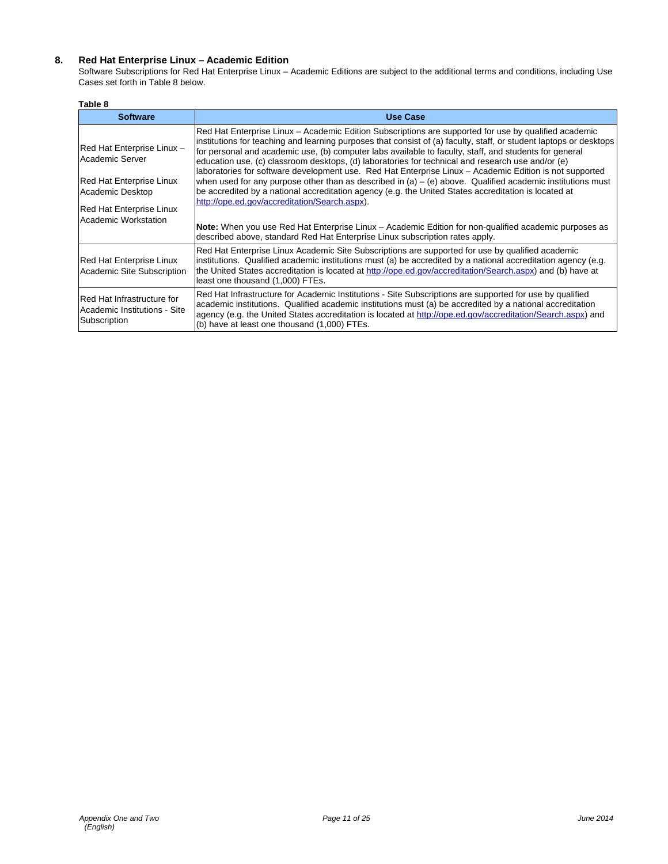# **8. Red Hat Enterprise Linux – Academic Edition**

Software Subscriptions for Red Hat Enterprise Linux – Academic Editions are subject to the additional terms and conditions, including Use Cases set forth in Table 8 below.

### **Table 8**

| <b>Software</b>                                                                                                                                          | <b>Use Case</b>                                                                                                                                                                                                                                                                                                                                                                                                                                                                                                                                                                                                                                                                                                                                                                                                                                                                                                                         |
|----------------------------------------------------------------------------------------------------------------------------------------------------------|-----------------------------------------------------------------------------------------------------------------------------------------------------------------------------------------------------------------------------------------------------------------------------------------------------------------------------------------------------------------------------------------------------------------------------------------------------------------------------------------------------------------------------------------------------------------------------------------------------------------------------------------------------------------------------------------------------------------------------------------------------------------------------------------------------------------------------------------------------------------------------------------------------------------------------------------|
| Red Hat Enterprise Linux -<br>Academic Server<br><b>Red Hat Enterprise Linux</b><br>Academic Desktop<br>Red Hat Enterprise Linux<br>Academic Workstation | Red Hat Enterprise Linux – Academic Edition Subscriptions are supported for use by qualified academic<br>institutions for teaching and learning purposes that consist of (a) faculty, staff, or student laptops or desktops<br>for personal and academic use, (b) computer labs available to faculty, staff, and students for general<br>education use, (c) classroom desktops, (d) laboratories for technical and research use and/or (e)<br>laboratories for software development use. Red Hat Enterprise Linux - Academic Edition is not supported<br>when used for any purpose other than as described in (a) $-$ (e) above. Qualified academic institutions must<br>be accredited by a national accreditation agency (e.g. the United States accreditation is located at<br>http://ope.ed.gov/accreditation/Search.aspx).<br>Note: When you use Red Hat Enterprise Linux – Academic Edition for non-qualified academic purposes as |
| Red Hat Enterprise Linux<br>Academic Site Subscription                                                                                                   | described above, standard Red Hat Enterprise Linux subscription rates apply.<br>Red Hat Enterprise Linux Academic Site Subscriptions are supported for use by qualified academic<br>institutions. Qualified academic institutions must (a) be accredited by a national accreditation agency (e.g.<br>the United States accreditation is located at http://ope.ed.gov/accreditation/Search.aspx) and (b) have at<br>least one thousand (1,000) FTEs.                                                                                                                                                                                                                                                                                                                                                                                                                                                                                     |
| Red Hat Infrastructure for<br>Academic Institutions - Site<br>Subscription                                                                               | Red Hat Infrastructure for Academic Institutions - Site Subscriptions are supported for use by qualified<br>academic institutions. Qualified academic institutions must (a) be accredited by a national accreditation<br>agency (e.g. the United States accreditation is located at http://ope.ed.gov/accreditation/Search.aspx) and<br>(b) have at least one thousand (1,000) FTEs.                                                                                                                                                                                                                                                                                                                                                                                                                                                                                                                                                    |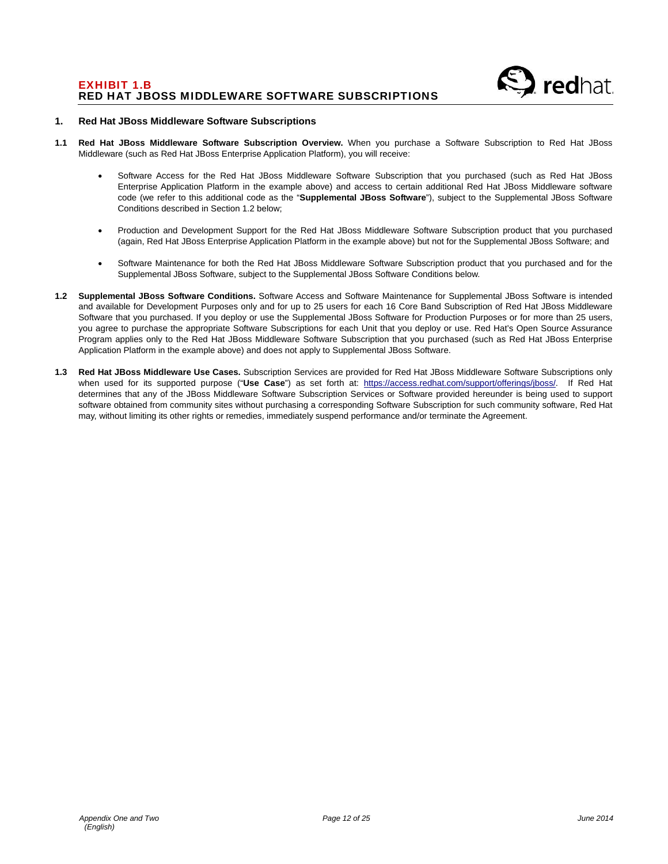

### **1. Red Hat JBoss Middleware Software Subscriptions**

- **1.1 Red Hat JBoss Middleware Software Subscription Overview.** When you purchase a Software Subscription to Red Hat JBoss Middleware (such as Red Hat JBoss Enterprise Application Platform), you will receive:
	- Software Access for the Red Hat JBoss Middleware Software Subscription that you purchased (such as Red Hat JBoss Enterprise Application Platform in the example above) and access to certain additional Red Hat JBoss Middleware software code (we refer to this additional code as the "**Supplemental JBoss Software**"), subject to the Supplemental JBoss Software Conditions described in Section 1.2 below;
	- Production and Development Support for the Red Hat JBoss Middleware Software Subscription product that you purchased (again, Red Hat JBoss Enterprise Application Platform in the example above) but not for the Supplemental JBoss Software; and
	- Software Maintenance for both the Red Hat JBoss Middleware Software Subscription product that you purchased and for the Supplemental JBoss Software, subject to the Supplemental JBoss Software Conditions below.
- **1.2 Supplemental JBoss Software Conditions.** Software Access and Software Maintenance for Supplemental JBoss Software is intended and available for Development Purposes only and for up to 25 users for each 16 Core Band Subscription of Red Hat JBoss Middleware Software that you purchased. If you deploy or use the Supplemental JBoss Software for Production Purposes or for more than 25 users, you agree to purchase the appropriate Software Subscriptions for each Unit that you deploy or use. Red Hat's Open Source Assurance Program applies only to the Red Hat JBoss Middleware Software Subscription that you purchased (such as Red Hat JBoss Enterprise Application Platform in the example above) and does not apply to Supplemental JBoss Software.
- **1.3 Red Hat JBoss Middleware Use Cases.** Subscription Services are provided for Red Hat JBoss Middleware Software Subscriptions only when used for its supported purpose ("**Use Case**") as set forth at: https://access.redhat.com/support/offerings/jboss/. If Red Hat determines that any of the JBoss Middleware Software Subscription Services or Software provided hereunder is being used to support software obtained from community sites without purchasing a corresponding Software Subscription for such community software, Red Hat may, without limiting its other rights or remedies, immediately suspend performance and/or terminate the Agreement.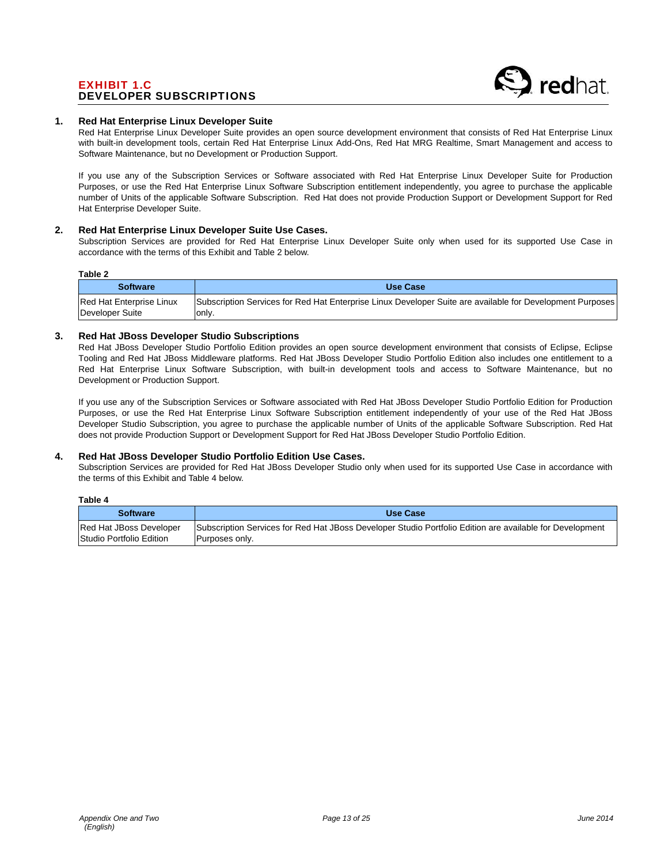# EXHIBIT 1.C DEVELOPER SUBSCRIPTIONS



### **1. Red Hat Enterprise Linux Developer Suite**

Red Hat Enterprise Linux Developer Suite provides an open source development environment that consists of Red Hat Enterprise Linux with built-in development tools, certain Red Hat Enterprise Linux Add-Ons, Red Hat MRG Realtime, Smart Management and access to Software Maintenance, but no Development or Production Support.

If you use any of the Subscription Services or Software associated with Red Hat Enterprise Linux Developer Suite for Production Purposes, or use the Red Hat Enterprise Linux Software Subscription entitlement independently, you agree to purchase the applicable number of Units of the applicable Software Subscription. Red Hat does not provide Production Support or Development Support for Red Hat Enterprise Developer Suite.

### **2. Red Hat Enterprise Linux Developer Suite Use Cases.**

Subscription Services are provided for Red Hat Enterprise Linux Developer Suite only when used for its supported Use Case in accordance with the terms of this Exhibit and Table 2 below.

### **Table 2**

**Table 4** 

| .                        |                                                                                                                  |
|--------------------------|------------------------------------------------------------------------------------------------------------------|
| <b>Software</b>          | Use Case                                                                                                         |
| Red Hat Enterprise Linux | <b>Subscription Services for Red Hat Enterprise Linux Developer Suite are available for Development Purposes</b> |
| Developer Suite          | lonly.                                                                                                           |

## **3. Red Hat JBoss Developer Studio Subscriptions**

Red Hat JBoss Developer Studio Portfolio Edition provides an open source development environment that consists of Eclipse, Eclipse Tooling and Red Hat JBoss Middleware platforms. Red Hat JBoss Developer Studio Portfolio Edition also includes one entitlement to a Red Hat Enterprise Linux Software Subscription, with built-in development tools and access to Software Maintenance, but no Development or Production Support.

If you use any of the Subscription Services or Software associated with Red Hat JBoss Developer Studio Portfolio Edition for Production Purposes, or use the Red Hat Enterprise Linux Software Subscription entitlement independently of your use of the Red Hat JBoss Developer Studio Subscription, you agree to purchase the applicable number of Units of the applicable Software Subscription. Red Hat does not provide Production Support or Development Support for Red Hat JBoss Developer Studio Portfolio Edition.

# **4. Red Hat JBoss Developer Studio Portfolio Edition Use Cases.**

Subscription Services are provided for Red Hat JBoss Developer Studio only when used for its supported Use Case in accordance with the terms of this Exhibit and Table 4 below.

| rapie 4                                             |                                                                                                                            |
|-----------------------------------------------------|----------------------------------------------------------------------------------------------------------------------------|
| <b>Software</b>                                     | Use Case                                                                                                                   |
| Red Hat JBoss Developer<br>Studio Portfolio Edition | Subscription Services for Red Hat JBoss Developer Studio Portfolio Edition are available for Development<br>Purposes only. |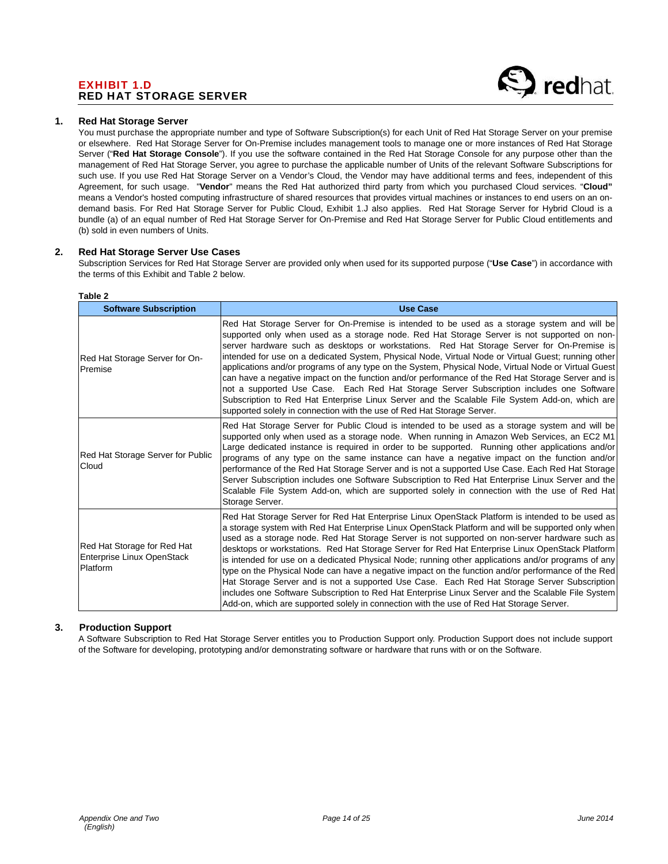# EXHIBIT 1.D RED HAT STORAGE SERVER



## **1. Red Hat Storage Server**

You must purchase the appropriate number and type of Software Subscription(s) for each Unit of Red Hat Storage Server on your premise or elsewhere. Red Hat Storage Server for On-Premise includes management tools to manage one or more instances of Red Hat Storage Server ("**Red Hat Storage Console**"). If you use the software contained in the Red Hat Storage Console for any purpose other than the management of Red Hat Storage Server, you agree to purchase the applicable number of Units of the relevant Software Subscriptions for such use. If you use Red Hat Storage Server on a Vendor's Cloud, the Vendor may have additional terms and fees, independent of this Agreement, for such usage. "**Vendor**" means the Red Hat authorized third party from which you purchased Cloud services. "**Cloud"** means a Vendor's hosted computing infrastructure of shared resources that provides virtual machines or instances to end users on an ondemand basis. For Red Hat Storage Server for Public Cloud, Exhibit 1.J also applies. Red Hat Storage Server for Hybrid Cloud is a bundle (a) of an equal number of Red Hat Storage Server for On-Premise and Red Hat Storage Server for Public Cloud entitlements and (b) sold in even numbers of Units.

### **2. Red Hat Storage Server Use Cases**

Subscription Services for Red Hat Storage Server are provided only when used for its supported purpose ("**Use Case**") in accordance with the terms of this Exhibit and Table 2 below.

| <b>Software Subscription</b>                                          | <b>Use Case</b>                                                                                                                                                                                                                                                                                                                                                                                                                                                                                                                                                                                                                                                                                                                                                                                                                                                                                                            |
|-----------------------------------------------------------------------|----------------------------------------------------------------------------------------------------------------------------------------------------------------------------------------------------------------------------------------------------------------------------------------------------------------------------------------------------------------------------------------------------------------------------------------------------------------------------------------------------------------------------------------------------------------------------------------------------------------------------------------------------------------------------------------------------------------------------------------------------------------------------------------------------------------------------------------------------------------------------------------------------------------------------|
| Red Hat Storage Server for On-<br>Premise                             | Red Hat Storage Server for On-Premise is intended to be used as a storage system and will be<br>supported only when used as a storage node. Red Hat Storage Server is not supported on non-<br>server hardware such as desktops or workstations. Red Hat Storage Server for On-Premise is<br>intended for use on a dedicated System, Physical Node, Virtual Node or Virtual Guest; running other<br>applications and/or programs of any type on the System, Physical Node, Virtual Node or Virtual Guest<br>can have a negative impact on the function and/or performance of the Red Hat Storage Server and is<br>not a supported Use Case. Each Red Hat Storage Server Subscription includes one Software<br>Subscription to Red Hat Enterprise Linux Server and the Scalable File System Add-on, which are<br>supported solely in connection with the use of Red Hat Storage Server.                                     |
| Red Hat Storage Server for Public<br>Cloud                            | Red Hat Storage Server for Public Cloud is intended to be used as a storage system and will be<br>supported only when used as a storage node. When running in Amazon Web Services, an EC2 M1<br>Large dedicated instance is required in order to be supported. Running other applications and/or<br>programs of any type on the same instance can have a negative impact on the function and/or<br>performance of the Red Hat Storage Server and is not a supported Use Case. Each Red Hat Storage<br>Server Subscription includes one Software Subscription to Red Hat Enterprise Linux Server and the<br>Scalable File System Add-on, which are supported solely in connection with the use of Red Hat<br>Storage Server.                                                                                                                                                                                                |
| Red Hat Storage for Red Hat<br>Enterprise Linux OpenStack<br>Platform | Red Hat Storage Server for Red Hat Enterprise Linux OpenStack Platform is intended to be used as<br>a storage system with Red Hat Enterprise Linux OpenStack Platform and will be supported only when<br>used as a storage node. Red Hat Storage Server is not supported on non-server hardware such as<br>desktops or workstations. Red Hat Storage Server for Red Hat Enterprise Linux OpenStack Platform<br>is intended for use on a dedicated Physical Node; running other applications and/or programs of any<br>type on the Physical Node can have a negative impact on the function and/or performance of the Red<br>Hat Storage Server and is not a supported Use Case. Each Red Hat Storage Server Subscription<br>includes one Software Subscription to Red Hat Enterprise Linux Server and the Scalable File System<br>Add-on, which are supported solely in connection with the use of Red Hat Storage Server. |

### **Table 2**

### **3. Production Support**

A Software Subscription to Red Hat Storage Server entitles you to Production Support only. Production Support does not include support of the Software for developing, prototyping and/or demonstrating software or hardware that runs with or on the Software.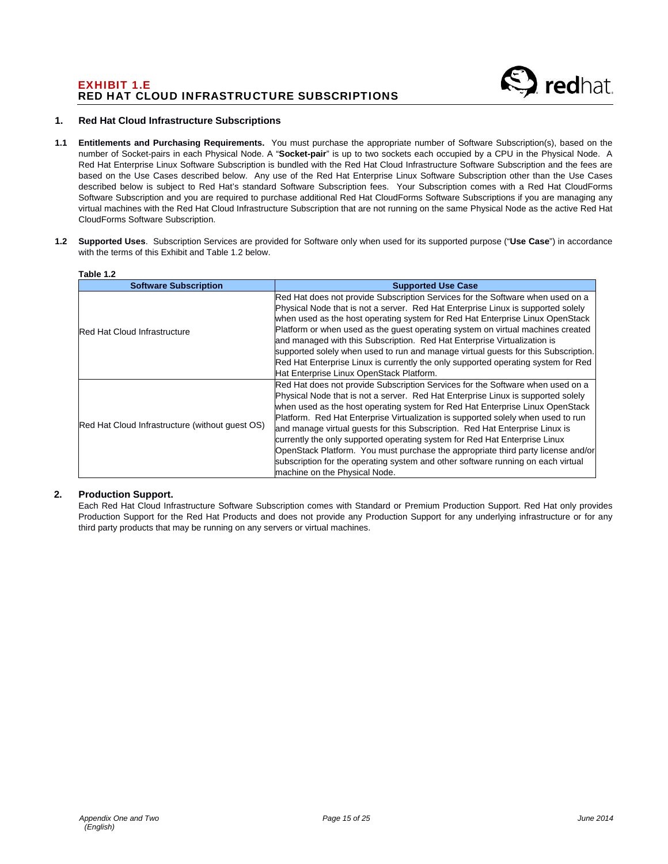# EXHIBIT 1.E RED HAT CLOUD INFRASTRUCTURE SUBSCRIPTIONS



### **1. Red Hat Cloud Infrastructure Subscriptions**

- **1.1 Entitlements and Purchasing Requirements.** You must purchase the appropriate number of Software Subscription(s), based on the number of Socket-pairs in each Physical Node. A "**Socket-pair**" is up to two sockets each occupied by a CPU in the Physical Node. A Red Hat Enterprise Linux Software Subscription is bundled with the Red Hat Cloud Infrastructure Software Subscription and the fees are based on the Use Cases described below. Any use of the Red Hat Enterprise Linux Software Subscription other than the Use Cases described below is subject to Red Hat's standard Software Subscription fees. Your Subscription comes with a Red Hat CloudForms Software Subscription and you are required to purchase additional Red Hat CloudForms Software Subscriptions if you are managing any virtual machines with the Red Hat Cloud Infrastructure Subscription that are not running on the same Physical Node as the active Red Hat CloudForms Software Subscription.
- **1.2 Supported Uses**. Subscription Services are provided for Software only when used for its supported purpose ("**Use Case**") in accordance with the terms of this Exhibit and Table 1.2 below.

| Table 1.2                                       |                                                                                                                                                                                                                                                                                                                                                                                                                                                                                                                                                                                                                                                                                                                |  |  |
|-------------------------------------------------|----------------------------------------------------------------------------------------------------------------------------------------------------------------------------------------------------------------------------------------------------------------------------------------------------------------------------------------------------------------------------------------------------------------------------------------------------------------------------------------------------------------------------------------------------------------------------------------------------------------------------------------------------------------------------------------------------------------|--|--|
| <b>Software Subscription</b>                    | <b>Supported Use Case</b>                                                                                                                                                                                                                                                                                                                                                                                                                                                                                                                                                                                                                                                                                      |  |  |
| <b>Red Hat Cloud Infrastructure</b>             | Red Hat does not provide Subscription Services for the Software when used on a<br>Physical Node that is not a server. Red Hat Enterprise Linux is supported solely<br>when used as the host operating system for Red Hat Enterprise Linux OpenStack<br>Platform or when used as the quest operating system on virtual machines created<br>and managed with this Subscription. Red Hat Enterprise Virtualization is<br>supported solely when used to run and manage virtual guests for this Subscription.<br>Red Hat Enterprise Linux is currently the only supported operating system for Red<br>Hat Enterprise Linux OpenStack Platform.                                                                      |  |  |
| Red Hat Cloud Infrastructure (without quest OS) | Red Hat does not provide Subscription Services for the Software when used on a<br>Physical Node that is not a server. Red Hat Enterprise Linux is supported solely<br>when used as the host operating system for Red Hat Enterprise Linux OpenStack<br>Platform. Red Hat Enterprise Virtualization is supported solely when used to run<br>and manage virtual quests for this Subscription. Red Hat Enterprise Linux is<br>currently the only supported operating system for Red Hat Enterprise Linux<br>OpenStack Platform. You must purchase the appropriate third party license and/or<br>subscription for the operating system and other software running on each virtual<br>machine on the Physical Node. |  |  |

# **2. Production Support.**

Each Red Hat Cloud Infrastructure Software Subscription comes with Standard or Premium Production Support. Red Hat only provides Production Support for the Red Hat Products and does not provide any Production Support for any underlying infrastructure or for any third party products that may be running on any servers or virtual machines.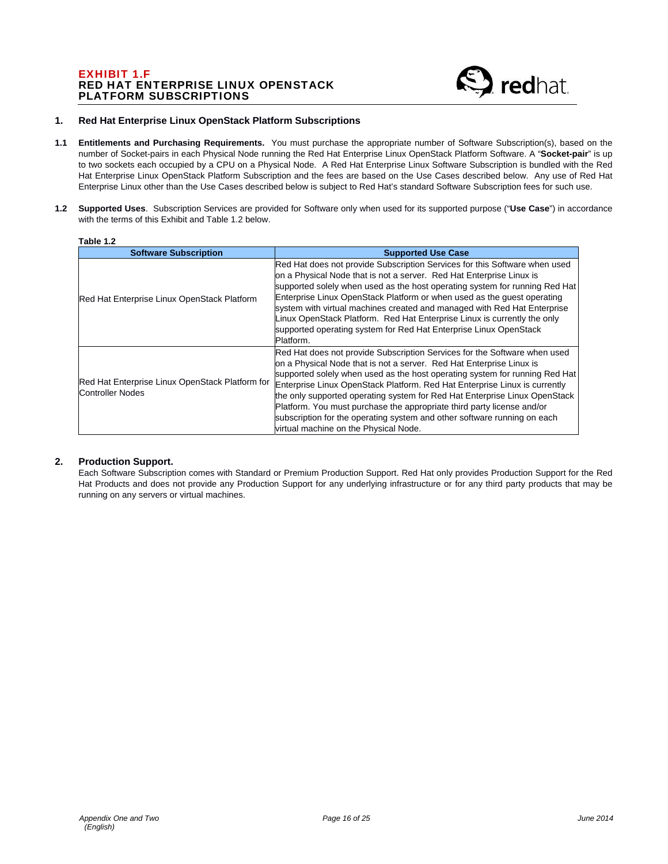# EXHIBIT 1.F RED HAT ENTERPRISE LINUX OPENSTACK PLATFORM SUBSCRIPTIONS



### **1. Red Hat Enterprise Linux OpenStack Platform Subscriptions**

- **1.1 Entitlements and Purchasing Requirements.** You must purchase the appropriate number of Software Subscription(s), based on the number of Socket-pairs in each Physical Node running the Red Hat Enterprise Linux OpenStack Platform Software. A "**Socket-pair**" is up to two sockets each occupied by a CPU on a Physical Node. A Red Hat Enterprise Linux Software Subscription is bundled with the Red Hat Enterprise Linux OpenStack Platform Subscription and the fees are based on the Use Cases described below. Any use of Red Hat Enterprise Linux other than the Use Cases described below is subject to Red Hat's standard Software Subscription fees for such use.
- **1.2 Supported Uses**. Subscription Services are provided for Software only when used for its supported purpose ("**Use Case**") in accordance with the terms of this Exhibit and Table 1.2 below.

| <b>Software Subscription</b>                                               | <b>Supported Use Case</b>                                                                                                                                                                                                                                                                                                                                                                                                                                                                                                                                                                   |
|----------------------------------------------------------------------------|---------------------------------------------------------------------------------------------------------------------------------------------------------------------------------------------------------------------------------------------------------------------------------------------------------------------------------------------------------------------------------------------------------------------------------------------------------------------------------------------------------------------------------------------------------------------------------------------|
| Red Hat Enterprise Linux OpenStack Platform                                | Red Hat does not provide Subscription Services for this Software when used<br>on a Physical Node that is not a server. Red Hat Enterprise Linux is<br>supported solely when used as the host operating system for running Red Hat<br>Enterprise Linux OpenStack Platform or when used as the quest operating<br>system with virtual machines created and managed with Red Hat Enterprise<br>Linux OpenStack Platform. Red Hat Enterprise Linux is currently the only<br>supported operating system for Red Hat Enterprise Linux OpenStack<br>Platform.                                      |
| Red Hat Enterprise Linux OpenStack Platform for<br><b>Controller Nodes</b> | Red Hat does not provide Subscription Services for the Software when used<br>on a Physical Node that is not a server. Red Hat Enterprise Linux is<br>supported solely when used as the host operating system for running Red Hat<br>Enterprise Linux OpenStack Platform. Red Hat Enterprise Linux is currently<br>the only supported operating system for Red Hat Enterprise Linux OpenStack<br>Platform. You must purchase the appropriate third party license and/or<br>subscription for the operating system and other software running on each<br>virtual machine on the Physical Node. |

# **2. Production Support.**

Each Software Subscription comes with Standard or Premium Production Support. Red Hat only provides Production Support for the Red Hat Products and does not provide any Production Support for any underlying infrastructure or for any third party products that may be running on any servers or virtual machines.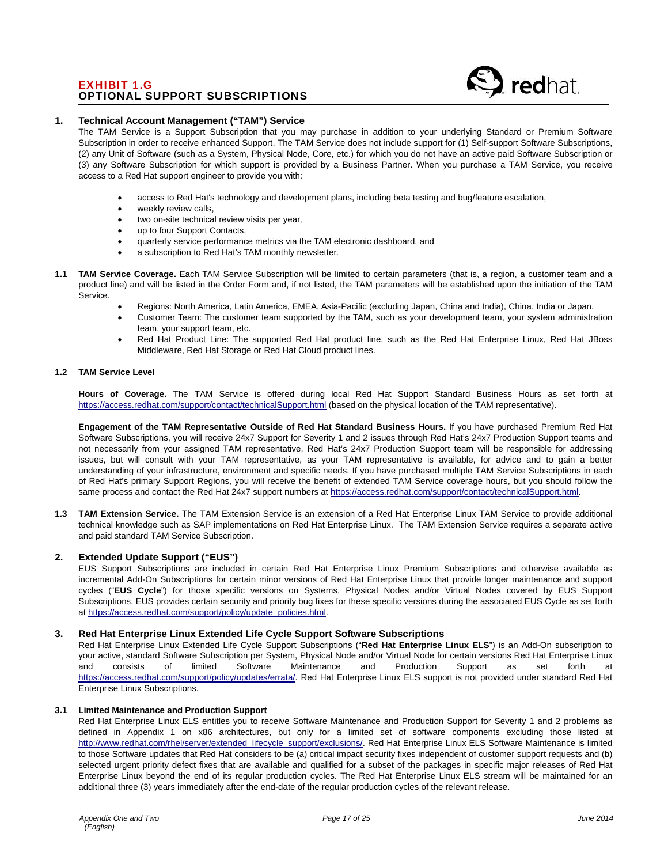# EXHIBIT 1.G OPTIONAL SUPPORT SUBSCRIPTIONS

## **1. Technical Account Management ("TAM") Service**

The TAM Service is a Support Subscription that you may purchase in addition to your underlying Standard or Premium Software Subscription in order to receive enhanced Support. The TAM Service does not include support for (1) Self-support Software Subscriptions, (2) any Unit of Software (such as a System, Physical Node, Core, etc.) for which you do not have an active paid Software Subscription or (3) any Software Subscription for which support is provided by a Business Partner. When you purchase a TAM Service, you receive access to a Red Hat support engineer to provide you with:

- access to Red Hat's technology and development plans, including beta testing and bug/feature escalation,
- weekly review calls,
- two on-site technical review visits per year,
- up to four Support Contacts,
- quarterly service performance metrics via the TAM electronic dashboard, and
- a subscription to Red Hat's TAM monthly newsletter.
- **1.1 TAM Service Coverage.** Each TAM Service Subscription will be limited to certain parameters (that is, a region, a customer team and a product line) and will be listed in the Order Form and, if not listed, the TAM parameters will be established upon the initiation of the TAM Service.
	- Regions: North America, Latin America, EMEA, Asia-Pacific (excluding Japan, China and India), China, India or Japan.
	- Customer Team: The customer team supported by the TAM, such as your development team, your system administration team, your support team, etc.
	- Red Hat Product Line: The supported Red Hat product line, such as the Red Hat Enterprise Linux, Red Hat JBoss Middleware, Red Hat Storage or Red Hat Cloud product lines.

#### **1.2 TAM Service Level**

**Hours of Coverage.** The TAM Service is offered during local Red Hat Support Standard Business Hours as set forth at https://access.redhat.com/support/contact/technicalSupport.html (based on the physical location of the TAM representative).

**Engagement of the TAM Representative Outside of Red Hat Standard Business Hours.** If you have purchased Premium Red Hat Software Subscriptions, you will receive 24x7 Support for Severity 1 and 2 issues through Red Hat's 24x7 Production Support teams and not necessarily from your assigned TAM representative. Red Hat's 24x7 Production Support team will be responsible for addressing issues, but will consult with your TAM representative, as your TAM representative is available, for advice and to gain a better understanding of your infrastructure, environment and specific needs. If you have purchased multiple TAM Service Subscriptions in each of Red Hat's primary Support Regions, you will receive the benefit of extended TAM Service coverage hours, but you should follow the same process and contact the Red Hat 24x7 support numbers at https://access.redhat.com/support/contact/technicalSupport.html.

**1.3 TAM Extension Service.** The TAM Extension Service is an extension of a Red Hat Enterprise Linux TAM Service to provide additional technical knowledge such as SAP implementations on Red Hat Enterprise Linux. The TAM Extension Service requires a separate active and paid standard TAM Service Subscription.

# **2. Extended Update Support ("EUS")**

EUS Support Subscriptions are included in certain Red Hat Enterprise Linux Premium Subscriptions and otherwise available as incremental Add-On Subscriptions for certain minor versions of Red Hat Enterprise Linux that provide longer maintenance and support cycles ("**EUS Cycle**") for those specific versions on Systems, Physical Nodes and/or Virtual Nodes covered by EUS Support Subscriptions. EUS provides certain security and priority bug fixes for these specific versions during the associated EUS Cycle as set forth at https://access.redhat.com/support/policy/update\_policies.html.

### **3. Red Hat Enterprise Linux Extended Life Cycle Support Software Subscriptions**

Red Hat Enterprise Linux Extended Life Cycle Support Subscriptions ("**Red Hat Enterprise Linux ELS**") is an Add-On subscription to your active, standard Software Subscription per System, Physical Node and/or Virtual Node for certain versions Red Hat Enterprise Linux<br>
and consists of limited Software Maintenance and Production Support as set forth at and consists of limited Software Maintenance and Production Support as set forth at https://access.redhat.com/support/policy/updates/errata/. Red Hat Enterprise Linux ELS support is not provided under standard Red Hat Enterprise Linux Subscriptions.

### **3.1 Limited Maintenance and Production Support**

Red Hat Enterprise Linux ELS entitles you to receive Software Maintenance and Production Support for Severity 1 and 2 problems as defined in Appendix 1 on x86 architectures, but only for a limited set of software components excluding those listed at http://www.redhat.com/rhel/server/extended\_lifecycle\_support/exclusions/. Red Hat Enterprise Linux ELS Software Maintenance is limited to those Software updates that Red Hat considers to be (a) critical impact security fixes independent of customer support requests and (b) selected urgent priority defect fixes that are available and qualified for a subset of the packages in specific major releases of Red Hat Enterprise Linux beyond the end of its regular production cycles. The Red Hat Enterprise Linux ELS stream will be maintained for an additional three (3) years immediately after the end-date of the regular production cycles of the relevant release.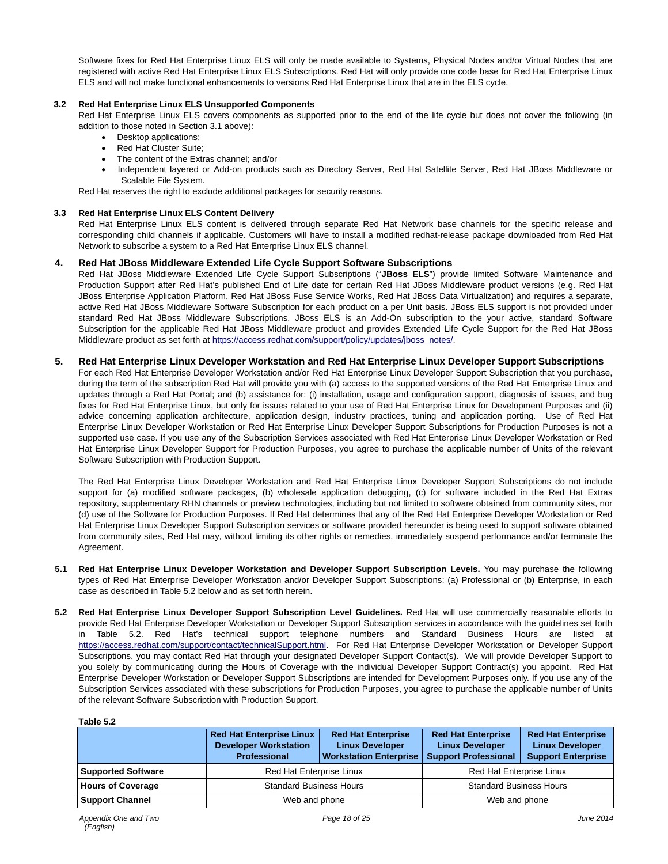Software fixes for Red Hat Enterprise Linux ELS will only be made available to Systems, Physical Nodes and/or Virtual Nodes that are registered with active Red Hat Enterprise Linux ELS Subscriptions. Red Hat will only provide one code base for Red Hat Enterprise Linux ELS and will not make functional enhancements to versions Red Hat Enterprise Linux that are in the ELS cycle.

### **3.2 Red Hat Enterprise Linux ELS Unsupported Components**

Red Hat Enterprise Linux ELS covers components as supported prior to the end of the life cycle but does not cover the following (in addition to those noted in Section 3.1 above):

- Desktop applications;
- Red Hat Cluster Suite:
- The content of the Extras channel; and/or
- Independent layered or Add-on products such as Directory Server, Red Hat Satellite Server, Red Hat JBoss Middleware or Scalable File System.

Red Hat reserves the right to exclude additional packages for security reasons.

### **3.3 Red Hat Enterprise Linux ELS Content Delivery**

Red Hat Enterprise Linux ELS content is delivered through separate Red Hat Network base channels for the specific release and corresponding child channels if applicable. Customers will have to install a modified redhat-release package downloaded from Red Hat Network to subscribe a system to a Red Hat Enterprise Linux ELS channel.

# **4. Red Hat JBoss Middleware Extended Life Cycle Support Software Subscriptions**

Red Hat JBoss Middleware Extended Life Cycle Support Subscriptions ("**JBoss ELS**") provide limited Software Maintenance and Production Support after Red Hat's published End of Life date for certain Red Hat JBoss Middleware product versions (e.g. Red Hat JBoss Enterprise Application Platform, Red Hat JBoss Fuse Service Works, Red Hat JBoss Data Virtualization) and requires a separate, active Red Hat JBoss Middleware Software Subscription for each product on a per Unit basis. JBoss ELS support is not provided under standard Red Hat JBoss Middleware Subscriptions. JBoss ELS is an Add-On subscription to the your active, standard Software Subscription for the applicable Red Hat JBoss Middleware product and provides Extended Life Cycle Support for the Red Hat JBoss Middleware product as set forth at https://access.redhat.com/support/policy/updates/jboss\_notes/.

## **5. Red Hat Enterprise Linux Developer Workstation and Red Hat Enterprise Linux Developer Support Subscriptions**

For each Red Hat Enterprise Developer Workstation and/or Red Hat Enterprise Linux Developer Support Subscription that you purchase, during the term of the subscription Red Hat will provide you with (a) access to the supported versions of the Red Hat Enterprise Linux and updates through a Red Hat Portal; and (b) assistance for: (i) installation, usage and configuration support, diagnosis of issues, and bug fixes for Red Hat Enterprise Linux, but only for issues related to your use of Red Hat Enterprise Linux for Development Purposes and (ii) advice concerning application architecture, application design, industry practices, tuning and application porting. Use of Red Hat Enterprise Linux Developer Workstation or Red Hat Enterprise Linux Developer Support Subscriptions for Production Purposes is not a supported use case. If you use any of the Subscription Services associated with Red Hat Enterprise Linux Developer Workstation or Red Hat Enterprise Linux Developer Support for Production Purposes, you agree to purchase the applicable number of Units of the relevant Software Subscription with Production Support.

The Red Hat Enterprise Linux Developer Workstation and Red Hat Enterprise Linux Developer Support Subscriptions do not include support for (a) modified software packages, (b) wholesale application debugging, (c) for software included in the Red Hat Extras repository, supplementary RHN channels or preview technologies, including but not limited to software obtained from community sites, nor (d) use of the Software for Production Purposes. If Red Hat determines that any of the Red Hat Enterprise Developer Workstation or Red Hat Enterprise Linux Developer Support Subscription services or software provided hereunder is being used to support software obtained from community sites, Red Hat may, without limiting its other rights or remedies, immediately suspend performance and/or terminate the Agreement.

- **5.1 Red Hat Enterprise Linux Developer Workstation and Developer Support Subscription Levels.** You may purchase the following types of Red Hat Enterprise Developer Workstation and/or Developer Support Subscriptions: (a) Professional or (b) Enterprise, in each case as described in Table 5.2 below and as set forth herein.
- **5.2 Red Hat Enterprise Linux Developer Support Subscription Level Guidelines.** Red Hat will use commercially reasonable efforts to provide Red Hat Enterprise Developer Workstation or Developer Support Subscription services in accordance with the guidelines set forth in Table 5.2. Red Hat's technical support telephone numbers and Standard Business Hours are listed at https://access.redhat.com/support/contact/technicalSupport.html. For Red Hat Enterprise Developer Workstation or Developer Support Subscriptions, you may contact Red Hat through your designated Developer Support Contact(s). We will provide Developer Support to you solely by communicating during the Hours of Coverage with the individual Developer Support Contract(s) you appoint. Red Hat Enterprise Developer Workstation or Developer Support Subscriptions are intended for Development Purposes only. If you use any of the Subscription Services associated with these subscriptions for Production Purposes, you agree to purchase the applicable number of Units of the relevant Software Subscription with Production Support.

# **Table 5.2**

|                           | <b>Red Hat Enterprise Linux</b><br><b>Developer Workstation</b><br><b>Professional</b> | <b>Red Hat Enterprise</b><br><b>Linux Developer</b><br><b>Workstation Enterprise</b> | <b>Red Hat Enterprise</b><br><b>Linux Developer</b><br><b>Support Professional</b> | <b>Red Hat Enterprise</b><br><b>Linux Developer</b><br><b>Support Enterprise</b> |
|---------------------------|----------------------------------------------------------------------------------------|--------------------------------------------------------------------------------------|------------------------------------------------------------------------------------|----------------------------------------------------------------------------------|
| <b>Supported Software</b> | Red Hat Enterprise Linux                                                               |                                                                                      | <b>Red Hat Enterprise Linux</b>                                                    |                                                                                  |
| <b>Hours of Coverage</b>  | <b>Standard Business Hours</b>                                                         |                                                                                      | <b>Standard Business Hours</b>                                                     |                                                                                  |
| <b>Support Channel</b>    | Web and phone                                                                          |                                                                                      | Web and phone                                                                      |                                                                                  |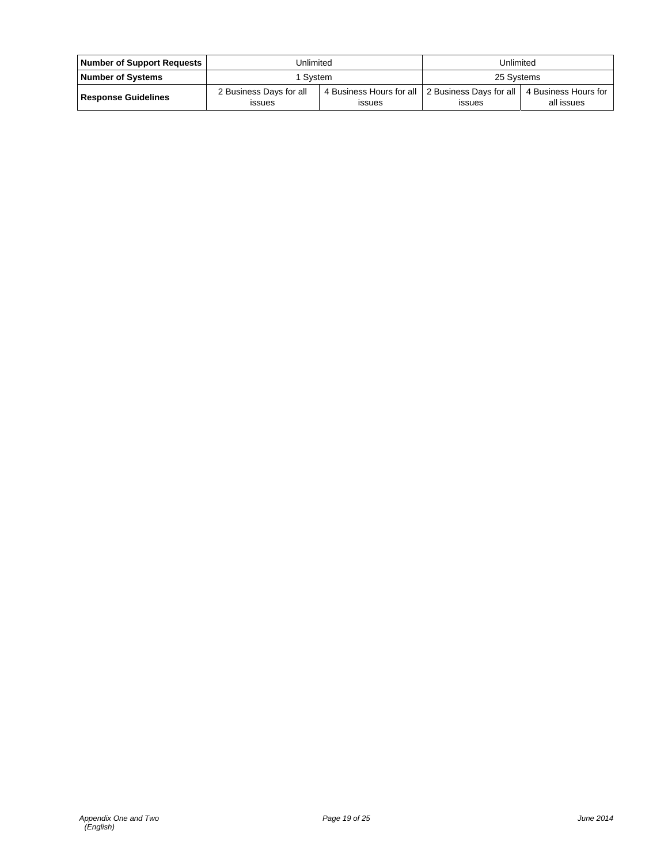| Number of Support Requests | Unlimited                                |                                                                     | Unlimited     |                                    |
|----------------------------|------------------------------------------|---------------------------------------------------------------------|---------------|------------------------------------|
| <b>Number of Systems</b>   | 1 Svstem                                 |                                                                     | 25 Systems    |                                    |
| <b>Response Guidelines</b> | 2 Business Days for all<br><b>ISSUES</b> | 4 Business Hours for all   2 Business Days for all<br><b>ISSUES</b> | <b>ISSUES</b> | 4 Business Hours for<br>all issues |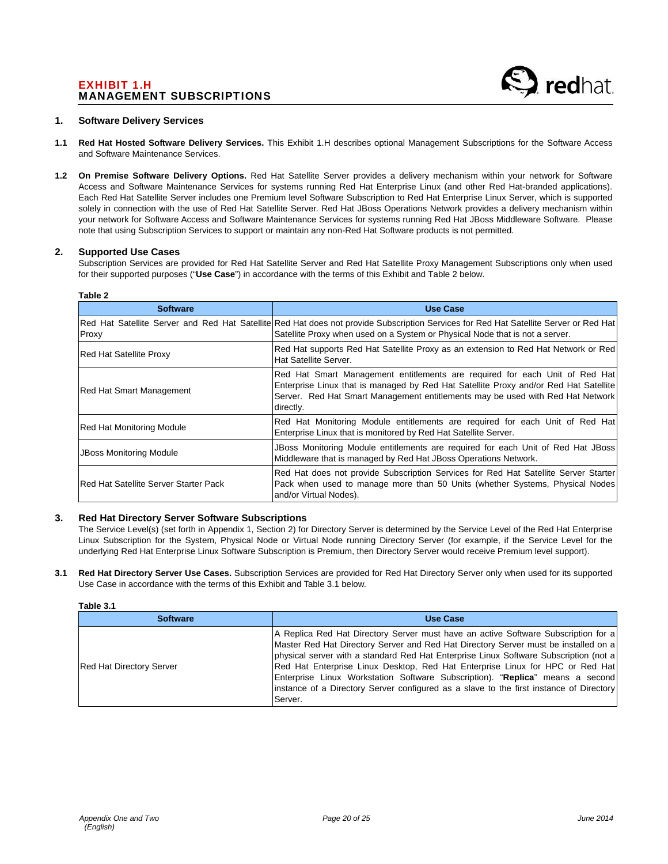# EXHIBIT 1.H MANAGEMENT SUBSCRIPTIONS

### **1. Software Delivery Services**

- **1.1 Red Hat Hosted Software Delivery Services.** This Exhibit 1.H describes optional Management Subscriptions for the Software Access and Software Maintenance Services.
- **1.2 On Premise Software Delivery Options.** Red Hat Satellite Server provides a delivery mechanism within your network for Software Access and Software Maintenance Services for systems running Red Hat Enterprise Linux (and other Red Hat-branded applications). Each Red Hat Satellite Server includes one Premium level Software Subscription to Red Hat Enterprise Linux Server, which is supported solely in connection with the use of Red Hat Satellite Server. Red Hat JBoss Operations Network provides a delivery mechanism within your network for Software Access and Software Maintenance Services for systems running Red Hat JBoss Middleware Software. Please note that using Subscription Services to support or maintain any non-Red Hat Software products is not permitted.

### **2. Supported Use Cases**

**Table 2** 

Subscription Services are provided for Red Hat Satellite Server and Red Hat Satellite Proxy Management Subscriptions only when used for their supported purposes ("**Use Case**") in accordance with the terms of this Exhibit and Table 2 below.

| <b>Software</b>                                                                                                                                                                                                                                 | <b>Use Case</b>                                                                                                                                                                                                                                                    |
|-------------------------------------------------------------------------------------------------------------------------------------------------------------------------------------------------------------------------------------------------|--------------------------------------------------------------------------------------------------------------------------------------------------------------------------------------------------------------------------------------------------------------------|
| Proxy                                                                                                                                                                                                                                           | Red Hat Satellite Server and Red Hat Satellite Red Hat does not provide Subscription Services for Red Hat Satellite Server or Red Hat<br>Satellite Proxy when used on a System or Physical Node that is not a server.                                              |
| <b>Red Hat Satellite Proxy</b>                                                                                                                                                                                                                  | Red Hat supports Red Hat Satellite Proxy as an extension to Red Hat Network or Red<br>Hat Satellite Server.                                                                                                                                                        |
| <b>Red Hat Smart Management</b>                                                                                                                                                                                                                 | Red Hat Smart Management entitlements are required for each Unit of Red Hat<br>Enterprise Linux that is managed by Red Hat Satellite Proxy and/or Red Hat Satellite<br>Server. Red Hat Smart Management entitlements may be used with Red Hat Network<br>directly. |
| <b>Red Hat Monitoring Module</b>                                                                                                                                                                                                                | Red Hat Monitoring Module entitlements are required for each Unit of Red Hat<br>Enterprise Linux that is monitored by Red Hat Satellite Server.                                                                                                                    |
| <b>JBoss Monitoring Module</b>                                                                                                                                                                                                                  | JBoss Monitoring Module entitlements are required for each Unit of Red Hat JBoss<br>Middleware that is managed by Red Hat JBoss Operations Network.                                                                                                                |
| Red Hat does not provide Subscription Services for Red Hat Satellite Server Starter<br>Pack when used to manage more than 50 Units (whether Systems, Physical Nodes)<br><b>IRed Hat Satellite Server Starter Pack</b><br>and/or Virtual Nodes). |                                                                                                                                                                                                                                                                    |

# **3. Red Hat Directory Server Software Subscriptions**

The Service Level(s) (set forth in Appendix 1, Section 2) for Directory Server is determined by the Service Level of the Red Hat Enterprise Linux Subscription for the System, Physical Node or Virtual Node running Directory Server (for example, if the Service Level for the underlying Red Hat Enterprise Linux Software Subscription is Premium, then Directory Server would receive Premium level support).

**3.1 Red Hat Directory Server Use Cases.** Subscription Services are provided for Red Hat Directory Server only when used for its supported Use Case in accordance with the terms of this Exhibit and Table 3.1 below.

|  |  | Table 3 |  |
|--|--|---------|--|
|--|--|---------|--|

| <b>Software</b>                 | <b>Use Case</b>                                                                                                                                                                                                                                                                                                                                                                                                                                                                                                                             |  |  |
|---------------------------------|---------------------------------------------------------------------------------------------------------------------------------------------------------------------------------------------------------------------------------------------------------------------------------------------------------------------------------------------------------------------------------------------------------------------------------------------------------------------------------------------------------------------------------------------|--|--|
| <b>Red Hat Directory Server</b> | A Replica Red Hat Directory Server must have an active Software Subscription for a<br>Master Red Hat Directory Server and Red Hat Directory Server must be installed on a<br>physical server with a standard Red Hat Enterprise Linux Software Subscription (not a)<br>Red Hat Enterprise Linux Desktop, Red Hat Enterprise Linux for HPC or Red Hat<br>Enterprise Linux Workstation Software Subscription). "Replica" means a second<br>instance of a Directory Server configured as a slave to the first instance of Directory<br>Server. |  |  |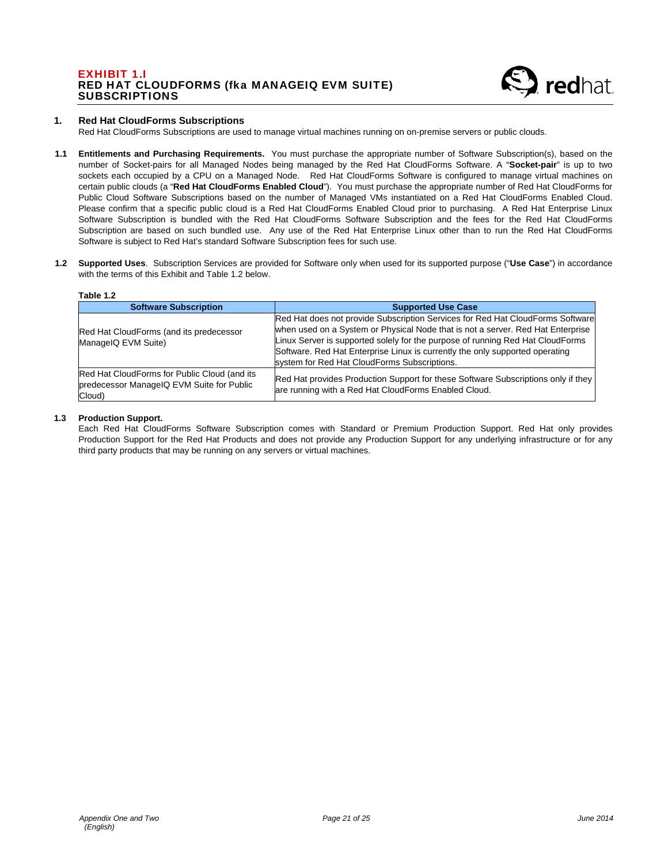# EXHIBIT 1.I RED HAT CLOUDFORMS (fka MANAGEIQ EVM SUITE) **SUBSCRIPTIONS**



## **1. Red Hat CloudForms Subscriptions**

Red Hat CloudForms Subscriptions are used to manage virtual machines running on on-premise servers or public clouds.

- **1.1 Entitlements and Purchasing Requirements.** You must purchase the appropriate number of Software Subscription(s), based on the number of Socket-pairs for all Managed Nodes being managed by the Red Hat CloudForms Software. A "**Socket-pair**" is up to two sockets each occupied by a CPU on a Managed Node. Red Hat CloudForms Software is configured to manage virtual machines on certain public clouds (a "**Red Hat CloudForms Enabled Cloud**"). You must purchase the appropriate number of Red Hat CloudForms for Public Cloud Software Subscriptions based on the number of Managed VMs instantiated on a Red Hat CloudForms Enabled Cloud. Please confirm that a specific public cloud is a Red Hat CloudForms Enabled Cloud prior to purchasing. A Red Hat Enterprise Linux Software Subscription is bundled with the Red Hat CloudForms Software Subscription and the fees for the Red Hat CloudForms Subscription are based on such bundled use. Any use of the Red Hat Enterprise Linux other than to run the Red Hat CloudForms Software is subject to Red Hat's standard Software Subscription fees for such use.
- **1.2 Supported Uses**. Subscription Services are provided for Software only when used for its supported purpose ("**Use Case**") in accordance with the terms of this Exhibit and Table 1.2 below.

### **Table 1.2**

| <b>Software Subscription</b>                                                                        | <b>Supported Use Case</b>                                                                                                                                                                                                                                                                                                                                                           |
|-----------------------------------------------------------------------------------------------------|-------------------------------------------------------------------------------------------------------------------------------------------------------------------------------------------------------------------------------------------------------------------------------------------------------------------------------------------------------------------------------------|
| Red Hat CloudForms (and its predecessor<br>ManageIQ EVM Suite)                                      | Red Hat does not provide Subscription Services for Red Hat CloudForms Software<br>when used on a System or Physical Node that is not a server. Red Hat Enterprise<br>Linux Server is supported solely for the purpose of running Red Hat CloudForms<br>Software. Red Hat Enterprise Linux is currently the only supported operating<br>system for Red Hat CloudForms Subscriptions. |
| Red Hat CloudForms for Public Cloud (and its<br>predecessor ManageIQ EVM Suite for Public<br>Cloud) | Red Hat provides Production Support for these Software Subscriptions only if they<br>are running with a Red Hat CloudForms Enabled Cloud.                                                                                                                                                                                                                                           |

#### **1.3 Production Support.**

Each Red Hat CloudForms Software Subscription comes with Standard or Premium Production Support. Red Hat only provides Production Support for the Red Hat Products and does not provide any Production Support for any underlying infrastructure or for any third party products that may be running on any servers or virtual machines.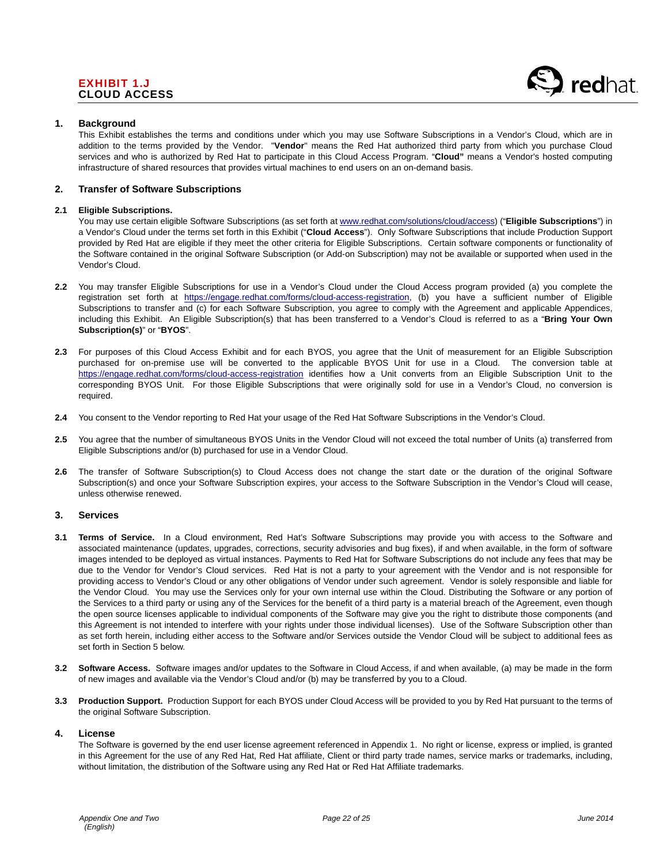# EXHIBIT 1.J CLOUD ACCESS



### **1. Background**

This Exhibit establishes the terms and conditions under which you may use Software Subscriptions in a Vendor's Cloud, which are in addition to the terms provided by the Vendor. "**Vendor**" means the Red Hat authorized third party from which you purchase Cloud services and who is authorized by Red Hat to participate in this Cloud Access Program. "**Cloud"** means a Vendor's hosted computing infrastructure of shared resources that provides virtual machines to end users on an on-demand basis.

## **2. Transfer of Software Subscriptions**

### **2.1 Eligible Subscriptions.**

You may use certain eligible Software Subscriptions (as set forth at www.redhat.com/solutions/cloud/access) ("**Eligible Subscriptions**") in a Vendor's Cloud under the terms set forth in this Exhibit ("**Cloud Access**"). Only Software Subscriptions that include Production Support provided by Red Hat are eligible if they meet the other criteria for Eligible Subscriptions. Certain software components or functionality of the Software contained in the original Software Subscription (or Add-on Subscription) may not be available or supported when used in the Vendor's Cloud.

- **2.2** You may transfer Eligible Subscriptions for use in a Vendor's Cloud under the Cloud Access program provided (a) you complete the registration set forth at https://engage.redhat.com/forms/cloud-access-registration, (b) you have a sufficient number of Eligible Subscriptions to transfer and (c) for each Software Subscription, you agree to comply with the Agreement and applicable Appendices, including this Exhibit. An Eligible Subscription(s) that has been transferred to a Vendor's Cloud is referred to as a "**Bring Your Own Subscription(s)**" or "**BYOS**".
- **2.3** For purposes of this Cloud Access Exhibit and for each BYOS, you agree that the Unit of measurement for an Eligible Subscription purchased for on-premise use will be converted to the applicable BYOS Unit for use in a Cloud. The conversion table at https://engage.redhat.com/forms/cloud-access-registration identifies how a Unit converts from an Eligible Subscription Unit to the corresponding BYOS Unit. For those Eligible Subscriptions that were originally sold for use in a Vendor's Cloud, no conversion is required.
- **2.4** You consent to the Vendor reporting to Red Hat your usage of the Red Hat Software Subscriptions in the Vendor's Cloud.
- **2.5** You agree that the number of simultaneous BYOS Units in the Vendor Cloud will not exceed the total number of Units (a) transferred from Eligible Subscriptions and/or (b) purchased for use in a Vendor Cloud.
- **2.6** The transfer of Software Subscription(s) to Cloud Access does not change the start date or the duration of the original Software Subscription(s) and once your Software Subscription expires, your access to the Software Subscription in the Vendor's Cloud will cease, unless otherwise renewed.

### **3. Services**

- **3.1 Terms of Service.** In a Cloud environment, Red Hat's Software Subscriptions may provide you with access to the Software and associated maintenance (updates, upgrades, corrections, security advisories and bug fixes), if and when available, in the form of software images intended to be deployed as virtual instances. Payments to Red Hat for Software Subscriptions do not include any fees that may be due to the Vendor for Vendor's Cloud services. Red Hat is not a party to your agreement with the Vendor and is not responsible for providing access to Vendor's Cloud or any other obligations of Vendor under such agreement. Vendor is solely responsible and liable for the Vendor Cloud. You may use the Services only for your own internal use within the Cloud. Distributing the Software or any portion of the Services to a third party or using any of the Services for the benefit of a third party is a material breach of the Agreement, even though the open source licenses applicable to individual components of the Software may give you the right to distribute those components (and this Agreement is not intended to interfere with your rights under those individual licenses). Use of the Software Subscription other than as set forth herein, including either access to the Software and/or Services outside the Vendor Cloud will be subject to additional fees as set forth in Section 5 below.
- **3.2 Software Access.** Software images and/or updates to the Software in Cloud Access, if and when available, (a) may be made in the form of new images and available via the Vendor's Cloud and/or (b) may be transferred by you to a Cloud.
- **3.3 Production Support.** Production Support for each BYOS under Cloud Access will be provided to you by Red Hat pursuant to the terms of the original Software Subscription.

### **4. License**

The Software is governed by the end user license agreement referenced in Appendix 1. No right or license, express or implied, is granted in this Agreement for the use of any Red Hat, Red Hat affiliate, Client or third party trade names, service marks or trademarks, including, without limitation, the distribution of the Software using any Red Hat or Red Hat Affiliate trademarks.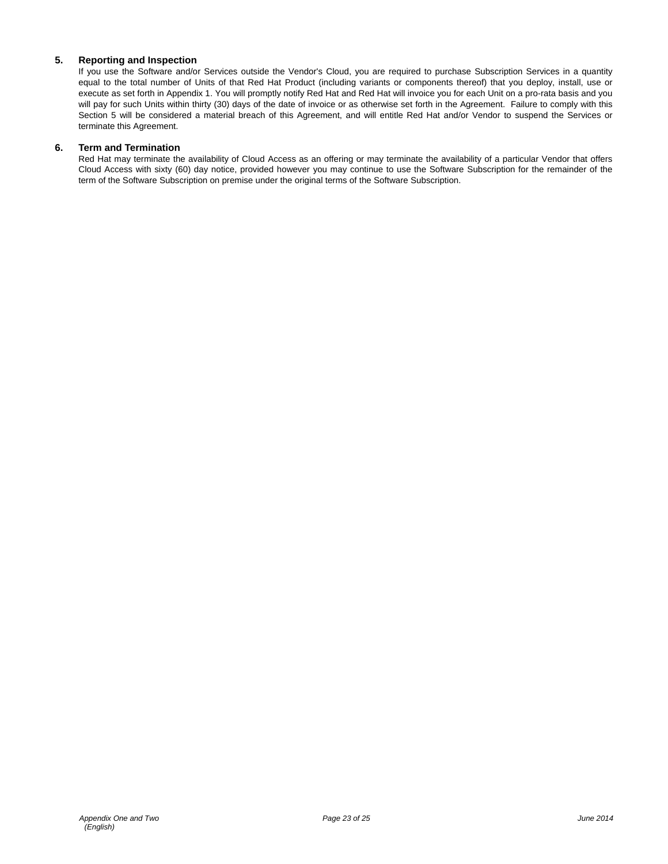# **5. Reporting and Inspection**

If you use the Software and/or Services outside the Vendor's Cloud, you are required to purchase Subscription Services in a quantity equal to the total number of Units of that Red Hat Product (including variants or components thereof) that you deploy, install, use or execute as set forth in Appendix 1. You will promptly notify Red Hat and Red Hat will invoice you for each Unit on a pro-rata basis and you will pay for such Units within thirty (30) days of the date of invoice or as otherwise set forth in the Agreement. Failure to comply with this Section 5 will be considered a material breach of this Agreement, and will entitle Red Hat and/or Vendor to suspend the Services or terminate this Agreement.

# **6. Term and Termination**

Red Hat may terminate the availability of Cloud Access as an offering or may terminate the availability of a particular Vendor that offers Cloud Access with sixty (60) day notice, provided however you may continue to use the Software Subscription for the remainder of the term of the Software Subscription on premise under the original terms of the Software Subscription.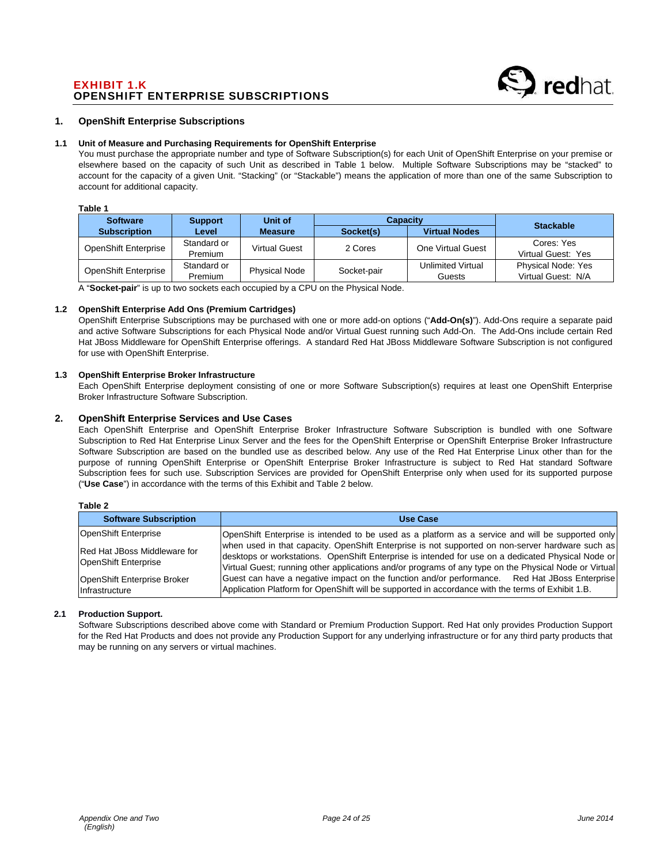# EXHIBIT 1.K OPENSHIFT ENTERPRISE SUBSCRIPTIONS

### **1. OpenShift Enterprise Subscriptions**

### **1.1 Unit of Measure and Purchasing Requirements for OpenShift Enterprise**

You must purchase the appropriate number and type of Software Subscription(s) for each Unit of OpenShift Enterprise on your premise or elsewhere based on the capacity of such Unit as described in Table 1 below. Multiple Software Subscriptions may be "stacked" to account for the capacity of a given Unit. "Stacking" (or "Stackable") means the application of more than one of the same Subscription to account for additional capacity.

#### **Table 1**

| <b>Software</b>             | <b>Support</b>         | Unit of              | <b>Capacity</b> |                             | <b>Stackable</b>                                |
|-----------------------------|------------------------|----------------------|-----------------|-----------------------------|-------------------------------------------------|
| <b>Subscription</b>         | Level <sup>,</sup>     | <b>Measure</b>       | Socket(s)       | <b>Virtual Nodes</b>        |                                                 |
| <b>OpenShift Enterprise</b> | Standard or<br>Premium | <b>Virtual Guest</b> | 2 Cores         | One Virtual Guest           | Cores: Yes<br>Virtual Guest: Yes                |
| <b>OpenShift Enterprise</b> | Standard or<br>Premium | <b>Physical Node</b> | Socket-pair     | Unlimited Virtual<br>Guests | <b>Physical Node: Yes</b><br>Virtual Guest: N/A |

A "**Socket-pair**" is up to two sockets each occupied by a CPU on the Physical Node.

### **1.2 OpenShift Enterprise Add Ons (Premium Cartridges)**

OpenShift Enterprise Subscriptions may be purchased with one or more add-on options ("**Add-On(s)**"). Add-Ons require a separate paid and active Software Subscriptions for each Physical Node and/or Virtual Guest running such Add-On. The Add-Ons include certain Red Hat JBoss Middleware for OpenShift Enterprise offerings. A standard Red Hat JBoss Middleware Software Subscription is not configured for use with OpenShift Enterprise.

### **1.3 OpenShift Enterprise Broker Infrastructure**

Each OpenShift Enterprise deployment consisting of one or more Software Subscription(s) requires at least one OpenShift Enterprise Broker Infrastructure Software Subscription.

# **2. OpenShift Enterprise Services and Use Cases**

Each OpenShift Enterprise and OpenShift Enterprise Broker Infrastructure Software Subscription is bundled with one Software Subscription to Red Hat Enterprise Linux Server and the fees for the OpenShift Enterprise or OpenShift Enterprise Broker Infrastructure Software Subscription are based on the bundled use as described below. Any use of the Red Hat Enterprise Linux other than for the purpose of running OpenShift Enterprise or OpenShift Enterprise Broker Infrastructure is subject to Red Hat standard Software Subscription fees for such use. Subscription Services are provided for OpenShift Enterprise only when used for its supported purpose ("**Use Case**") in accordance with the terms of this Exhibit and Table 2 below.

**Table 2** 

| <b>Software Subscription</b>                         | <b>Use Case</b>                                                                                                                                                                                                                                                                                                 |
|------------------------------------------------------|-----------------------------------------------------------------------------------------------------------------------------------------------------------------------------------------------------------------------------------------------------------------------------------------------------------------|
| OpenShift Enterprise                                 | OpenShift Enterprise is intended to be used as a platform as a service and will be supported only                                                                                                                                                                                                               |
| Red Hat JBoss Middleware for<br>OpenShift Enterprise | when used in that capacity. OpenShift Enterprise is not supported on non-server hardware such as<br>desktops or workstations. OpenShift Enterprise is intended for use on a dedicated Physical Node or<br>Virtual Guest; running other applications and/or programs of any type on the Physical Node or Virtual |
| OpenShift Enterprise Broker<br><i>Infrastructure</i> | Guest can have a negative impact on the function and/or performance. Red Hat JBoss Enterprise<br>Application Platform for OpenShift will be supported in accordance with the terms of Exhibit 1.B.                                                                                                              |

#### **2.1 Production Support.**

Software Subscriptions described above come with Standard or Premium Production Support. Red Hat only provides Production Support for the Red Hat Products and does not provide any Production Support for any underlying infrastructure or for any third party products that may be running on any servers or virtual machines.